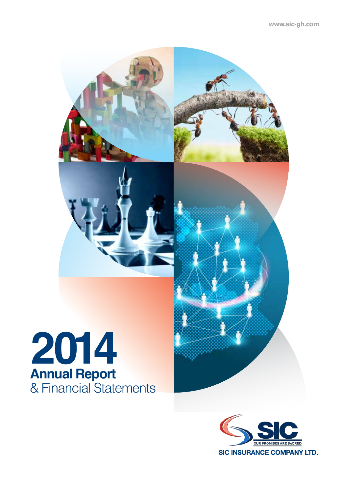# **Annual Report** & Financial Statements **2014**

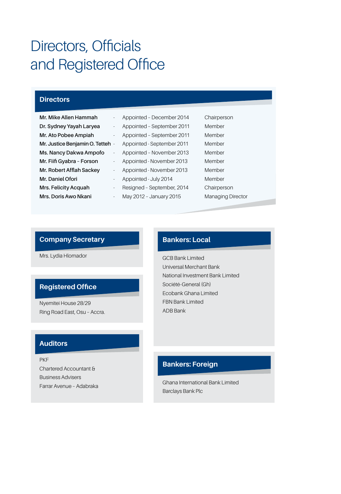# Directors, Officials and Registered Office

#### **Directors**

**Mr. Mike Allen Hammah** - Appointed – December 2014 Chairperson **Dr. Sydney Yayah Laryea** - Appointed - September 2011 Member **Mr. Ato Pobee Ampiah** - Appointed – September 2011 Member **Mr. Justice Benjamin O. Tetteh** - Appointed - September 2011 Member **Ms. Nancy Dakwa Ampofo** - Appointed – November 2013 Member **Mr. Fiifi Gyabra – Forson** - Appointed - November 2013 Member **Mr. Robert Afflah Sackey** - Appointed - November 2013 Member **Mr. Daniel Ofori - Appointed - July 2014** Member **Mrs. Felicity Acquah** - Resigned - September, 2014 Chairperson **Mrs. Doris Awo Nkani** - May 2012 - January 2015 Managing Director

## **Company Secretary**

Mrs. Lydia Hlomador

#### **Registered Office**

Nyemitei House 28/29 Ring Road East, Osu – Accra.

#### **Auditors**

PKF Chartered Accountant & Business Advisers Farrar Avenue – Adabraka

#### **Bankers: Local**

GCB Bank Limited Universal Merchant Bank National Investment Bank Limited Société-General (Gh) Ecobank Ghana Limited FBN Bank Limited ADB Bank

#### **Bankers: Foreign**

Ghana International Bank Limited Barclays Bank Plc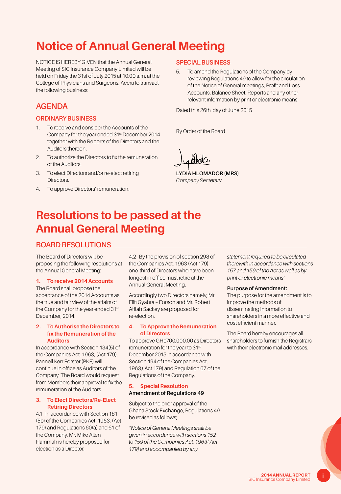## **Notice of Annual General Meeting**

NOTICE IS HEREBY GIVEN that the Annual General Meeting of SIC Insurance Company Limited will be held on Friday the 31st of July 2015 at 10:00 a.m. at the College of Physicians and Surgeons, Accra to transact the following business:

### **AGENDA**

#### **ORDINARY BUSINESS**

- 1. To receive and consider the Accounts of the Company for the year ended 31st December 2014 together with the Reports of the Directors and the Auditors thereon.
- 2. To authorize the Directors to fix the remuneration of the Auditors.
- 3. To elect Directors and/or re-elect retiring **Directors**
- 4. To approve Directors' remuneration.

#### **SPECIAL BUSINESS**

5. To amend the Regulations of the Company by reviewing Regulations 49 to allow for the circulation of the Notice of General meetings, Profit and Loss Accounts, Balance Sheet, Reports and any other relevant information by print or electronic means.

Dated this 26th day of June 2015

By Order of the Board

**LYDIA HLOMADOR (MRS)** *Company Secretary*

## **Resolutions to be passed at the Annual General Meeting**

#### **BOARD RESOLUTIONS**

The Board of Directors will be proposing the following resolutions at the Annual General Meeting:

#### **1. To receive 2014 Accounts**

The Board shall propose the acceptance of the 2014 Accounts as the true and fair view of the affairs of the Company for the year ended 31st December, 2014.

#### **2. To Authorise the Directors to fix the Remuneration of the Auditors**

In accordance with Section 134(5) of the Companies Act, 1963, (Act 179), Pannell Kerr Forster (PKF) will continue in office as Auditors of the Company. The Board would request from Members their approval to fix the remuneration of the Auditors.

#### **3. To Elect Directors/Re-Elect Retiring Directors**

4.1 In accordance with Section 181 (5b) of the Companies Act, 1963, (Act 179) and Regulations 60(a) and 61 of the Company, Mr. Mike Allen Hammah is hereby proposed for election as a Director.

4.2 By the provision of section 298 of the Companies Act, 1963 (Act 179) one-third of Directors who have been longest in office must retire at the Annual General Meeting.

Accordingly two Directors namely, Mr. Fiifi Gyabra – Forson and Mr. Robert Afflah Sackey are proposed for re-election.

#### **4. To Approve the Remuneration of Directors**

To approve GH¢700,000.00 as Directors remuneration for the year to 31<sup>st</sup> December 2015 in accordance with Section 194 of the Companies Act, 1963,( Act 179) and Regulation 67 of the Regulations of the Company.

#### **5. Special Resolution Amendment of Regulations 49**

Subject to the prior approval of the Ghana Stock Exchange, Regulations 49 be revised as follows;

*"Notice of General Meetings shall be given in accordance with sections 152 to 159 of the Companies Act, 1963( Act 179) and accompanied by any* 

*statement required to be circulated therewith in accordance with sections 157 and 159 of the Act as well as by print or electronic means"*

#### **Purpose of Amendment:**

The purpose for the amendment is to improve the methods of disseminating information to shareholders in a more effective and cost efficient manner.

The Board hereby encourages all shareholders to furnish the Registrars with their electronic mail addresses.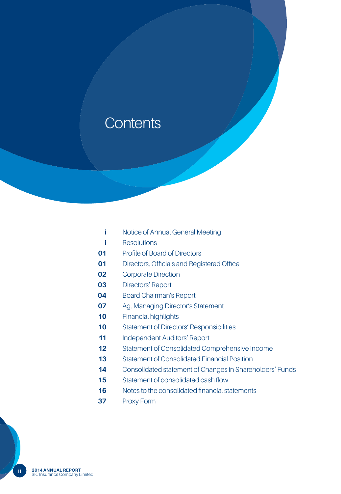## **Contents**

- **i** Notice of Annual General Meeting
- **i** Resolutions
- Profile of Board of Directors
- Directors, Officials and Registered Office
- Corporate Direction
- Directors' Report
- Board Chairman's Report
- Ag. Managing Director's Statement
- Financial highlights
- Statement of Directors' Responsibilities
- Independent Auditors' Report
- Statement of Consolidated Comprehensive Income
- 13 Statement of Consolidated Financial Position
- Consolidated statement of Changes in Shareholders' Funds
- Statement of consolidated cash flow
- Notes to the consolidated financial statements
- Proxy Form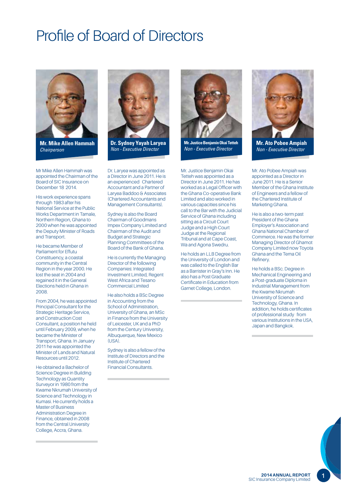# Profile of Board of Directors



**Mr. Mike Allen Hammah** *Chairperson*

Mr Mike Allen Hammah was appointed the Chairman of the Board of SIC Insurance on December 18 2014.

His work experience spans through 1983 after his National Service at the Public Works Department in Tamale, Northern Region, Ghana to 2000 when he was appointed the Deputy Minister of Roads and Transport.

He became Member of Parliament for Effutu Constituency, a coastal community in the Central Region in the year 2000. He lost the seat in 2004 and regained it in the General Elections held in Ghana in 2008.

From 2004, he was appointed Principal Consultant for the Strategic Heritage Service, and Construction Cost Consultant, a position he held until February 2009, when he became the Minister of Transport, Ghana. In January 2011 he was appointed the Minister of Lands and Natural Resources until 2012.

He obtained a Bachelor of Science Degree in Building Technology as Quantity Surveyor in 1980 from the Kwame Nkrumah University of Science and Technology in Kumasi. He currently holds a Master of Business Administration Degree in Finance, obtained in 2008 from the Central University College, Accra, Ghana.



**Dr. Sydney Yayah Laryea** *Non - Executive Director*

Dr. Laryea was appointed as a Director in June 2011. He is an experienced Chartered Accountant and a Partner of Laryea Baddoo & Associates (Chartered Accountants and Management Consultants).

Sydney is also the Board Chairman of Goodmans Impex Company Limited and Chairman of the Audit and Budget and Strategic Planning Committees of the Board of the Bank of Ghana.

He is currently the Managing Director of the following Companies: Integrated Investment Limited, Regent West Africa and Tesano Commercial Limited

He also holds a BSc Degree in Accounting from the School of Administration, University of Ghana, an MSc in Finance from the University of Leicester, UK and a PhD from the Century University, Albuquerque, New Mexico (USA).

Sydney is also a fellow of the Institute of Directors and the Institute of Chartered Financial Consultants.



**Mr. Justice Benjamin Okai Tetteh** *Non - Executive Director*

Mr. Justice Benjamin Okai Tetteh was appointed as a Director in June 2011. He has worked as a Legal Officer with the Ghana Co-operative Bank Limited and also worked in various capacities since his call to the Bar with the Judicial Service of Ghana including sitting as a Circuit Court Judge and a High Court Judge at the Regional Tribunal and at Cape Coast, Wa and Agona Swedru.

He holds an LLB Degree from the University of London and was called to the English Bar as a Barrister in Gray's Inn. He also has a Post Graduate Certificate in Education from Garnet College, London.



**Mr. Ato Pobee Ampiah** *Non - Executive Director*

Mr. Ato Pobee Ampiah was appointed as a Director in June 2011. He is a Senior Member of the Ghana Institute of Engineers and a fellow of the Chartered Institute of Marketing Ghana.

He is also a two-term past President of the Ghana Employer's Association and Ghana National Chamber of Commerce. He was the former Managing Director of Ghamot Company Limited now Toyota Ghana and the Tema Oil Refinery.

He holds a BSc. Degree in Mechanical Engineering and a Post-graduate Diploma in Industrial Management from the Kwame Nkrumah University of Science and Technology, Ghana. In addition, he holds certificates of professional study from various Institutions in the USA, Japan and Bangkok.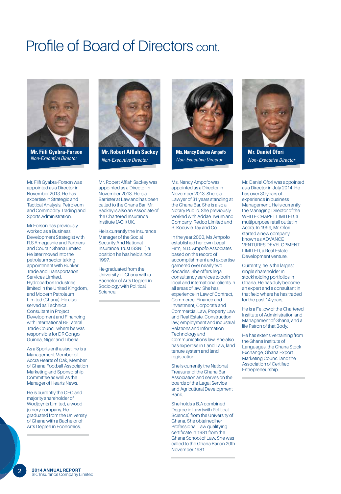## Profile of Board of Directors cont.



**Mr. Fiifi Gyabra-Forson** *Non-Executive Director*

Mr. Fiifi Gyabra-Forson was appointed as a Director in November 2013. He has expertise in Strategic and Tactical Analysis, Petroleum and Commodity Trading and Sports Administration.

Mr Forson has previously worked as a Business Development Strategist with R.S Amegashie and Partners and Courair Ghana Limited. He later moved into the petroleum sector taking appointment with Bunker Trade and Transportation Services Limited Hydrocarbon Industries limited in the United Kingdom, and Modern Petroleum Limited (Ghana). He also served as Technical Consultant in Project Development and Financing with International Bi-Lateral Trade Council where he was responsible for DR Congo, Guinea, Niger and Liberia.

As a Sports enthusiast, he is a Management Member of Accra Hearts of Oak, Member of Ghana Football Association Marketing and Sponsorship Committee as well as the Manager of Hearts News.

He is currently the CEO and majority shareholder of Wodjoynts Limited, a wood joinery company. He graduated from the University of Ghana with a Bachelor of Arts Degree in Economics.



*Non-Executive Director*

Mr. Robert Afflah Sackey was appointed as a Director in November 2013. He is a Barrister at Law and has been called to the Ghana Bar. Mr. Sackey is also an Associate of the Chartered Insurance Institute (ACII) UK.

He is currently the Insurance Manager of the Social Security And National Insurance Trust (SSNIT) a position he has held since 1997.

He graduated from the University of Ghana with a Bachelor of Arts Degree in Sociology with Political Science.



*Non-Executive Director*

Ms. Nancy Ampofo was appointed as a Director in November 2013. She is a Lawyer of 31 years standing at the Ghana Bar. She is also a Notary Public. She previously worked with Addae Twum and Company, Redco Limited and R. Kocuvie Tay and Co.

In the year 2000, Ms Ampofo established her own Legal Firm, N.D. Ampofo Associates based on the record of accomplishment and expertise garnered over nearly two decades. She offers legal consultancy services to both local and international clients in all areas of law. She has experience in Law of Contract, Commerce, Finance and Investment, Corporate and Commercial Law, Property Law and Real Estate, Construction law, employment and industrial Relations and Information Technology and Communications law. She also has expertise in Land Law, land tenure system and land registration.

She is currently the National Treasurer of the Ghana Bar Association and serves on the boards of the Legal Service and Agricultural Development **Bank** 

She holds a B.A combined Degree in Law (with Political Science) from the University of Ghana. She obtained her Professional Law qualifying certificate in 1981 from the Ghana School of Law. She was called to the Ghana Bar on 20th November 1981.



*Non- Executive Director*

Mr. Daniel Ofori was appointed as a Director in July 2014. He has over 30 years of experience in business Management. He is currently the Managing Director of the WHITE CHAPEL LIMITED, a multipurpose retail outlet in Accra. In 1999, Mr. Ofori started a new company known as ADVANCE VENTURES DEVELOPMENT LIMITED, a Real Estate Development venture.

Currently, he is the largest single shareholder in stockholding portfolios in Ghana. He has duly become an expert and a consultant in that field where he has traded for the past 14 years.

He is a Fellow of the Chartered Institute of Administration and Management of Ghana, and a life Patron of that Body.

He has extensive training from the Ghana Institute of Languages, the Ghana Stock Exchange, Ghana Export Marketing Council and the Association of Certified Entrepreneurship.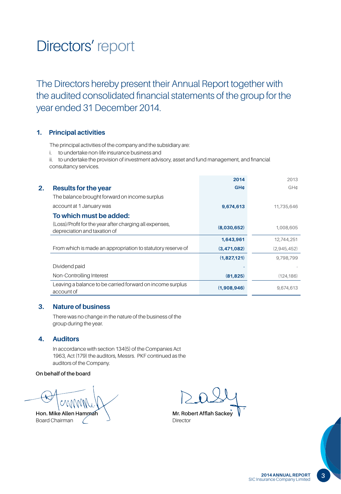# Directors' report

The Directors hereby present their Annual Report together with the audited consolidated financial statements of the group for the year ended 31 December 2014.

#### **1. Principal activities**

The principal activities of the company and the subsidiary are:

i. to undertake non-life insurance business and

ii. to undertake the provision of investment advisory, asset and fund management, and financial consultancy services.

|    |                                                                                         | 2014        | 2013        |
|----|-----------------------------------------------------------------------------------------|-------------|-------------|
| 2. | <b>Results for the year</b>                                                             | <b>GH¢</b>  | GH¢         |
|    | The balance brought forward on income surplus                                           |             |             |
|    | account at 1 January was                                                                | 9,674,613   | 11,735,646  |
|    | To which must be added:                                                                 |             |             |
|    | (Loss)/Profit for the year after charging all expenses,<br>depreciation and taxation of | (8,030,652) | 1,008,605   |
|    |                                                                                         | 1,643,961   | 12,744,251  |
|    | From which is made an appropriation to statutory reserve of                             | (3,471,082) | (2,945,452) |
|    |                                                                                         | (1,827,121) | 9,798,799   |
|    | Dividend paid                                                                           |             |             |
|    | Non-Controlling Interest                                                                | (81, 825)   | (124, 186)  |
|    | Leaving a balance to be carried forward on income surplus<br>account of                 | (1,908,946) | 9,674,613   |

#### **3. Nature of business**

There was no change in the nature of the business of the group during the year.

#### **4. Auditors**

In accordance with section 134(5) of the Companies Act 1963, Act (179) the auditors, Messrs. PKF continued as the auditors of the Company.

#### **On behalf of the board**

l

Hon. Mike Allen Hammah **Mr. Robert Afflah Sackey** Board Chairman  $\bigcup$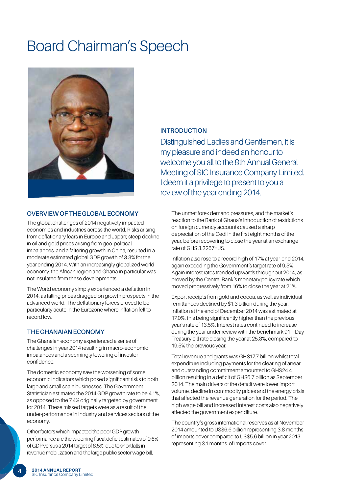# Board Chairman's Speech



#### **OVERVIEW OF THE GLOBAL ECONOMY**

The global challenges of 2014 negatively impacted economies and industries across the world. Risks arising from deflationary fears in Europe and Japan; steep decline in oil and gold prices arising from geo-political imbalances, and a faltering growth in China, resulted in a moderate estimated global GDP growth of 3.3% for the year ending 2014. With an increasingly globalized world economy, the African region and Ghana in particular was not insulated from these developments.

The World economy simply experienced a deflation in 2014, as falling prices dragged on growth prospects in the advanced world. The deflationary forces proved to be particularly acute in the Eurozone where inflation fell to record low.

#### **The Ghanaian Economy**

The Ghanaian economy experienced a series of challenges in year 2014 resulting in macro-economic imbalances and a seemingly lowering of investor confidence.

The domestic economy saw the worsening of some economic indicators which posed significant risks to both large and small scale businesses. The Government Statistician estimated the 2014 GDP growth rate to be 4.1%, as opposed to the 7.4% originally targeted by government for 2014. These missed targets were as a result of the under-performance in industry and services sectors of the economy.

Other factors which impacted the poor GDP growth performance are the widening fiscal deficit estimates of 9.6% of GDP versus a 2014 target of 8.5%, due to shortfalls in revenue mobilization and the large public sector wage bill.

#### **Introduction**

Distinguished Ladies and Gentlemen, it is my pleasure and indeed an honour to welcome you all to the 8th Annual General Meeting of SIC Insurance Company Limited. I deem it a privilege to present to you a review of the year ending 2014.

The unmet forex demand pressures, and the market's reaction to the Bank of Ghana's introduction of restrictions on foreign currency accounts caused a sharp depreciation of the Cedi in the first eight months of the year, before recovering to close the year at an exchange rate of GHS 3.2267=US.

Inflation also rose to a record high of 17% at year-end 2014, again exceeding the Government's target rate of 9.5%. Again interest rates trended upwards throughout 2014, as proved by the Central Bank's monetary policy rate which moved progressively from 16% to close the year at 21%.

Export receipts from gold and cocoa, as well as individual remittances declined by \$1.3 billion during the year. Inflation at the end of December 2014 was estimated at 17.0%, this being significantly higher than the previous year's rate of 13.5%. Interest rates continued to increase during the year under review with the benchmark 91 – Day Treasury bill rate closing the year at 25.8%, compared to 19.5% the previous year.

Total revenue and grants was GHS17.7 billion whilst total expenditure including payments for the clearing of arrear and outstanding commitment amounted to GHS24.4 billion resulting in a deficit of GHS6.7 billion as September 2014. The main drivers of the deficit were lower import volume, decline in commodity prices and the energy crisis that affected the revenue generation for the period. The high wage bill and increased interest costs also negatively affected the government expenditure.

The country's gross international reserves as at November 2014 amounted to US\$6.6 billion representing 3.8 months of imports cover compared to US\$5.6 billion in year 2013 representing 3.1 months of imports cover.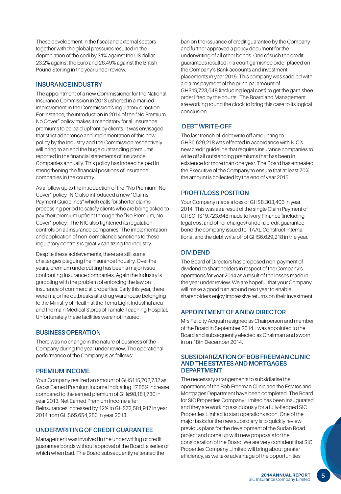These development in the fiscal and external sectors together with the global pressures resulted in the depreciation of the cedi by 31% against the US dollar, 23.2% against the Euro and 26.49% against the British Pound Sterling in the year under review.

#### **Insurance Industry**

The appointment of a new Commissioner for the National Insurance Commission in 2013 ushered in a marked improvement in the Commission's regulatory direction. For instance, the introduction in 2014 of the "No Premium, No Cover" policy makes it mandatory for all insurance premiums to be paid upfront by clients. It was envisaged that strict adherence and implementation of this new policy by the Industry and the Commission respectively will bring to an end the huge outstanding premiums reported in the financial statements of Insurance Companies annually. This policy has indeed helped in strengthening the financial positions of insurance companies in the country.

As a follow up to the introduction of the "No Premium, No Cover" policy, NIC also introduced a new "Claims Payment Guidelines" which calls for shorter claims processing period to satisfy clients who are being asked to pay their premium upfront through the "No Premium, No Cover" policy. The NIC also tightened its regulation controls on all insurance companies. The implementation and application of non-compliance sanctions to these regulatory controls is greatly sanitizing the industry.

Despite these achievements, there are still some challenges plaguing the insurance industry. Over the years, premium undercutting has been a major issue confronting Insurance companies. Again the industry is grappling with the problem of enforcing the law on insurance of commercial properties. Early this year, there were major fire outbreaks at a drug warehouse belonging to the Ministry of Health at the Tema Light Industrial area and the main Medical Stores of Tamale Teaching Hospital. Unfortunately these facilities were not insured.

#### **Business Operation**

There was no change in the nature of business of the Company during the year under review. The operational performance of the Company is as follows;

#### **Premium Income**

Your Company realized an amount of GHS115,702,732 as Gross Earned Premium Income indicating 17.85% increase compared to the earned premium of GH¢98,181,730 in year 2013. Net Earned Premium Income after Reinsurances increased by 12% to GHS73,581,917 in year 2014 from GHS65,654,283 in year 2013.

#### **Underwritingof Credit Guarantee**

Management was involved in the underwriting of credit guarantee bonds without approval of the Board, a series of which when bad. The Board subsequently reiterated the

ban on the issuance of credit guarantee by the Company and further approved a policy document for the underwriting of all other bonds. One of such the credit guarantees resulted in a court garnishee order placed on the Company's Bank accounts and investment placements in year 2015. This company was saddled with a claims payment of the principal amount of GHS19,723,648 (including legal cost) to get the garnishee order lifted by the courts. The Board and Management are working round the clock to bring this case to its logical conclusion.

#### **DEBT WRITE-OFF**

The last trench of debt write off amounting to GHS6,629,218 was effected in accordance with NIC's new credit guideline that requires insurance companies to write off all outstanding premiums that has been in existence for more than one year. The Board has entreated the Executive of the Company to ensure that at least 70% the amount is collected by the end of year 2015.

#### **Profit/Loss Position**

Your Company made a loss of GHS8,303,403 in year 2014. This was as a result of the single Claim Payment of GHSGHS19,723,648 made to Ivory Finance (including legal cost and other charges) under a credit guarantee bond the company issued to ITAAL Construct International and the debt write off of GHS6,629,218 in the year.

#### **DIVIDEND**

The Board of Directors has proposed non-payment of dividend to shareholders in respect of the Company's operations for year 2014 as a result of the losses made in the year under review. We are hopeful that your Company will make a good turn around next year to enable shareholders enjoy impressive returns on their investment.

#### **Appointmentofa New Director**

Mrs Felicity Acquah resigned as Chairperson and member of the Board in September 2014. I was appointed to the Board and subsequently elected as Chairman and sworn in on 18th December 2014.

#### **Subsidiarizationof Bob Freeman Clinic andthe Estatesand Mortgages Department**

The necessary arrangements to subsidiarise the operations of the Bob Freeman Clinic and the Estates and Mortgages Department have been completed. The Board for SIC Properties Company Limited has been inaugurated and they are working assiduously for a fully-fledged SIC Properties Limited to start operations soon. One of the major tasks for the new subsidiary is to quickly review previous plans for the development of the Sudan Road project and come up with new proposals for the consideration of the Board. We are very confident that SIC Properties Company Limited will bring about greater efficiency, as we take advantage of the opportunities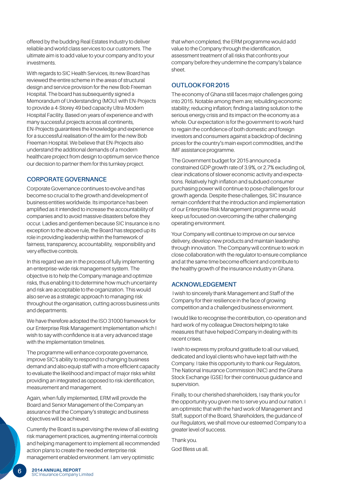offered by the budding Real Estates Industry to deliver reliable and world class services to our customers. The ultimate aim is to add value to your company and to your investments.

With regards to SIC Health Services, its new Board has reviewed the entire scheme in the areas of structural design and service provision for the new Bob Freeman Hospital. The board has subsequently signed a Memorandum of Understanding (MOU) with EN-Projects to provide a 4-Storey 49 bed capacity Ultra-Modern Hospital Facility. Based on years of experience and with many successful projects across all continents, EN-Projects guarantees the knowledge and experience for a successful realisation of the aim for the new Bob Freeman Hospital. We believe that EN-Projects also understand the additional demands of a modern healthcare project from design to optimum service thence our decision to partner them for this turnkey project.

#### **CORPORATE GOVERNANCE**

Corporate Governance continues to evolve and has become so crucial to the growth and development of business entities worldwide. Its importance has been amplified as it intended to increase the accountability of companies and to avoid massive disasters before they occur. Ladies and gentlemen because SIC Insurance is no exception to the above rule, the Board has stepped up its role in providing leadership within the framework of fairness, transparency, accountability, responsibility and very effective controls.

In this regard we are in the process of fully implementing an enterprise-wide risk management system. The objective is to help the Company manage and optimize risks, thus enabling it to determine how much uncertainty and risk are acceptable to the organization. This would also serve as a strategic approach to managing risk throughout the organisation, cutting across business units and departments.

We have therefore adopted the ISO 31000 framework for our Enterprise Risk Management Implementation which I wish to say with confidence is at a very advanced stage with the implementation timelines.

The programme will enhance corporate governance, improve SIC's ability to respond to changing business demand and also equip staff with a more efficient capacity to evaluate the likelihood and impact of major risks whilst providing an integrated as opposed to risk identification, measurement and management.

Again, when fully implemented, ERM will provide the Board and Senior Management of the Company an assurance that the Company's strategic and business objectives will be achieved.

Currently the Board is supervising the review of all existing risk management practices, augmenting internal controls and helping management to implement all recommended action plans to create the needed enterprise risk management enabled environment. I am very optimistic

that when completed, the ERM programme would add value to the Company through the identification, assessment treatment of all risks that confronts your company before they undermine the company's balance sheet.

#### **OUTLOOK FOR 2015**

The economy of Ghana still faces major challenges going into 2015. Notable among them are; rebuilding economic stability; reducing inflation; finding a lasting solution to the serious energy crisis and its impact on the economy as a whole. Our expectation is for the government to work hard to regain the confidence of both domestic and foreign investors and consumers against a backdrop of declining prices for the country's main export commodities, and the IMF assistance programme.

The Government budget for 2015 announced a constrained GDP growth rate of 3.9%, or 2.7% excluding oil, clear indications of slower economic activity and expectations. Relatively high inflation and subdued consumer purchasing power will continue to pose challenges for our growth agenda. Despite these challenges, SIC Insurance remain confident that the introduction and implementation of our Enterprise Risk Management programme would keep us focused on overcoming the rather challenging operating environment.

Your Company will continue to improve on our service delivery, develop new products and maintain leadership through innovation. The Company will continue to work in close collaboration with the regulator to ensure compliance and at the same time become efficient and contribute to the healthy growth of the insurance industry in Ghana.

#### **ACKNOWLEDGEMENT**

 I wish to sincerely thank Management and Staff of the Company for their resilience in the face of growing competition and a challenged business environment.

I would like to recognise the contribution, co-operation and hard work of my colleague Directors helping to take measures that have helped Company in dealing with its recent crises.

I wish to express my profound gratitude to all our valued, dedicated and loyal clients who have kept faith with the Company. I take this opportunity to thank our Regulators, The National Insurance Commission (NIC) and the Ghana Stock Exchange (GSE) for their continuous guidance and supervision.

Finally, to our cherished shareholders, I say thank you for the opportunity you given me to serve you and our nation. I am optimistic that with the hard work of Management and Staff, support of the Board, Shareholders, the guidance of our Regulators, we shall move our esteemed Company to a greater level of success.

Thank you. God Bless us all.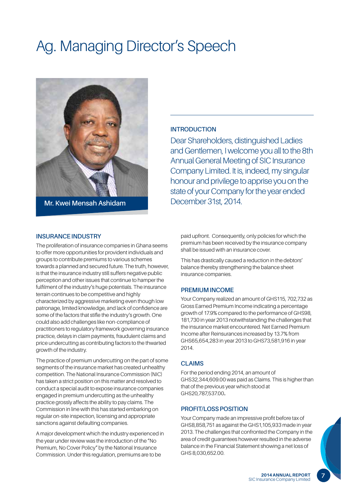# Ag. Managing Director's Speech



**Mr. Kwei Mensah Ashidam**

#### **INTRODUCTION**

Dear Shareholders, distinguished Ladies and Gentlemen, I welcome you all to the 8th Annual General Meeting of SIC Insurance Company Limited. It is, indeed, my singular honour and privilege to apprise you on the state of your Company for the year ended December 31st, 2014.

#### **INSURANCE INDUSTRY**

The proliferation of insurance companies in Ghana seems to offer more opportunities for provident individuals and groups to contribute premiums to various schemes towards a planned and secured future. The truth, however, is that the insurance industry still suffers negative public perception and other issues that continue to hamper the fulfilment of the industry's huge potentials. The insurance terrain continues to be competitive and highly characterized by aggressive marketing even though low patronage, limited knowledge, and lack of confidence are some of the factors that stifle the industry's growth. One could also add challenges like non-compliance of practitioners to regulatory framework governing insurance practice, delays in claim payments, fraudulent claims and price undercutting as contributing factors to the thwarted growth of the industry.

The practice of premium undercutting on the part of some segments of the insurance market has created unhealthy competition. The National Insurance Commission (NIC) has taken a strict position on this matter and resolved to conduct a special audit to expose insurance companies engaged in premium undercutting as the unhealthy practice grossly affects the ability to pay claims. The Commission in line with this has started embarking on regular on-site inspection, licensing and appropriate sanctions against defaulting companies.

A major development which the industry experienced in the year under review was the introduction of the "No Premium, No Cover Policy" by the National Insurance Commission. Under this regulation, premiums are to be

paid upfront. Consequently, only policies for which the premium has been received by the insurance company shall be issued with an insurance cover.

This has drastically caused a reduction in the debtors' balance thereby strengthening the balance sheet insurance companies.

#### **PREMIUM INCOME**

Your Company realized an amount of GHS115, 702,732 as Gross Earned Premium Income indicating a percentage growth of 17.9% compared to the performance of GHS98, 181,730 in year 2013 notwithstanding the challenges that the insurance market encountered. Net Earned Premium Income after Reinsurances increased by 13.7% from GHS65,654,283 in year 2013 to GHS73,581,916 in year 2014.

#### **CLAIMS**

For the period ending 2014, an amount of GHS32,344,609.00 was paid as Claims. This is higher than that of the previous year which stood at GHS20,787,537.00.

#### **PROFIT/LOSS POSITION**

Your Company made an impressive profit before tax of GHS8,858,751 as against the GHS1,105,933 made in year 2013. The challenges that confronted the Company in the area of credit guarantees however resulted in the adverse balance in the Financial Statement showing a net loss of GHS 8,030,652.00.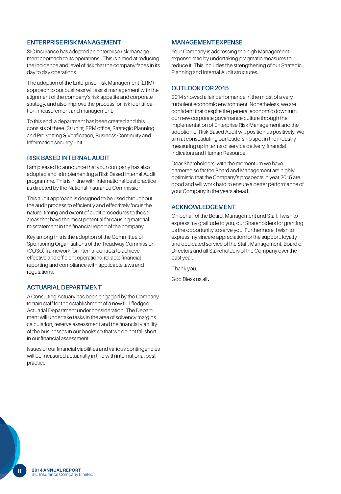#### **ENTERPRISE RISK MANAGEMENT**

SIC Insurance has adopted an enterprise risk management approach to its operations. This is aimed at reducing the incidence and level of risk that the company faces in its day to day operations.

The adoption of the Enterprise Risk Management (ERM) approach to our business will assist management with the alignment of the company's risk appetite and corporate strategy, and also improve the process for risk identification, measurement and management.

To this end, a department has been created and this consists of three (3) units; ERM office, Strategic Planning and Pre-vetting & Verification, Business Continuity and Information security unit.

#### **RISK BASED INTERNAL AUDIT**

I am pleased to announce that your company has also adopted and is implementing a Risk Based Internal Audit programme. This is in line with International best practice as directed by the National Insurance Commission.

This audit approach is designed to be used throughout the audit process to efficiently and effectively focus the nature, timing and extent of audit procedures to those areas that have the most potential for causing material misstatement in the financial report of the company.

Key among this is the adoption of the Committee of Sponsoring Organisations of the Treadway Commission (COSO) framework for internal controls to achieve effective and efficient operations, reliable financial reporting and compliance with applicable laws and regulations.

#### **ACTUARIAL DEPARTMENT**

A Consulting Actuary has been engaged by the Company to train staff for the establishment of a new full-fledged Actuarial Department under consideration. The Department will undertake tasks in the area of solvency margins calculation, reserve assessment and the financial viability of the businesses in our books so that we do not fall short in our financial assessment.

Issues of our financial viabilities and various contingencies will be measured actuarially in line with international best practice.

#### **MANAGEMENT EXPENSE**

Your Company is addressing the high Management expense ratio by undertaking pragmatic measures to reduce it. This includes the strengthening of our Strategic Planning and Internal Audit structures.

#### **OUTLOOK FOR 2015**

2014 showed a fair performance in the midst of a very turbulent economic environment. Nonetheless, we are confident that despite the general economic downturn, our new corporate governance culture through the implementation of Enterprise Risk Management and the adoption of Risk Based Audit will position us positively. We aim at consolidating our leadership spot in the industry measuring up in terms of service delivery, financial indicators and Human Resource.

Dear Shareholders, with the momentum we have garnered so far the Board and Management are highly optimistic that the Company's prospects in year 2015 are good and will work hard to ensure a better performance of your Company in the years ahead.

#### **ACKNOWLEDGEMENT**

On behalf of the Board, Management and Staff, I wish to express my gratitude to you, our Shareholders for granting us the opportunity to serve you. Furthermore, I wish to express my sincere appreciation for the support, loyalty and dedicated service of the Staff, Management, Board of Directors and all Stakeholders of the Company over the past year.

Thank you.

God Bless us all.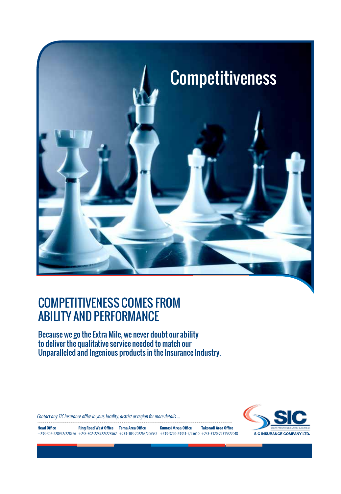

## COMPETITIVENESS COMES FROM ABILITY AND PERFORMANCE

Because we go the Extra Mile, we never doubt our ability to deliver the qualitative service needed to match our Unparalleled and Ingenious products in the Insurance Industry.

*Contact any SIC Insurance office in your, locality, district or region for more details ...*



**Ring Road West Office Tema Area Office** +233-302-228922/228962 +233-302-228922/228926 +233-303-202263/206535 +233-3220-23341-2/25610 +233-3120-22315/22048 **Head Office Kumasi Area Office Takoradi Area Office**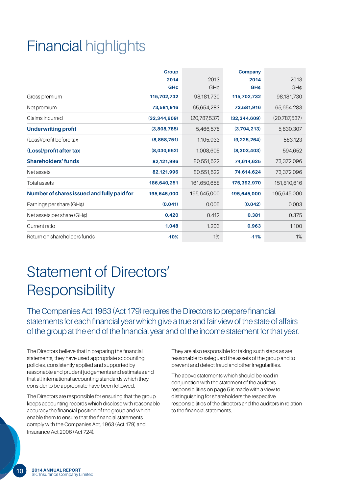# Financial highlights

|                                            | Group          |              | Company        |              |
|--------------------------------------------|----------------|--------------|----------------|--------------|
|                                            | 2014           | 2013         | 2014           | 2013         |
|                                            | GH¢            | GHC          | GH¢            | GH¢          |
| Gross premium                              | 115,702,732    | 98,181,730   | 115,702,732    | 98,181,730   |
| Net premium                                | 73,581,916     | 65,654,283   | 73,581,916     | 65,654,283   |
| Claims incurred                            | (32, 344, 609) | (20,787,537) | (32, 344, 609) | (20,787,537) |
| <b>Underwriting profit</b>                 | (3,808,785)    | 5,466,576    | (3,794,213)    | 5,630,307    |
| (Loss)/profit before tax                   | (8,858,751)    | 1,105,933    | (9, 225, 264)  | 563,123      |
| (Loss)/profit after tax                    | (8,030,652)    | 1,008,605    | (8, 303, 403)  | 594,652      |
| <b>Shareholders' funds</b>                 | 82,121,996     | 80,551,622   | 74,614,625     | 73,372,096   |
| Net assets                                 | 82,121,996     | 80,551,622   | 74,614,624     | 73,372,096   |
| Total assets                               | 186,640,251    | 161,650,658  | 175,392,970    | 151,810,616  |
| Number of shares issued and fully paid for | 195,645,000    | 195,645,000  | 195,645,000    | 195,645,000  |
| Earnings per share $(GH\phi)$              | (0.041)        | 0.005        | (0.042)        | 0.003        |
| Net assets per share $(GH\phi)$            | 0.420          | 0.412        | 0.381          | 0.375        |
| Current ratio                              | 1.048          | 1.203        | 0.963          | 1.100        |
| Return on shareholders funds               | $-10%$         | 1%           | $-11%$         | 1%           |

# Statement of Directors' **Responsibility**

The Companies Act 1963 (Act 179) requires the Directors to prepare financial statements for each financial year which give a true and fair view of the state of affairs of the group at the end of the financial year and of the income statement for that year.

The Directors believe that in preparing the financial statements, they have used appropriate accounting policies, consistently applied and supported by reasonable and prudent judgements and estimates and that all international accounting standards which they consider to be appropriate have been followed.

The Directors are responsible for ensuring that the group keeps accounting records which disclose with reasonable accuracy the financial position of the group and which enable them to ensure that the financial statements comply with the Companies Act, 1963 (Act 179) and Insurance Act 2006 (Act 724).

They are also responsible for taking such steps as are reasonable to safeguard the assets of the group and to prevent and detect fraud and other irregularities.

The above statements which should be read in conjunction with the statement of the auditors responsibilities on page 5 is made with a view to distinguishing for shareholders the respective responsibilities of the directors and the auditors in relation to the financial statements.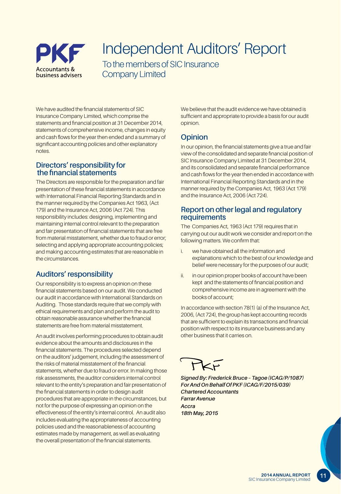

# Independent Auditors' Report

To the members of SIC Insurance Company Limited

We have audited the financial statements of SIC Insurance Company Limited, which comprise the statements and financial position at 31 December 2014, statements of comprehensive income, changes in equity and cash flows for the year then ended and a summary of significant accounting policies and other explanatory notes.

#### **Directors' responsibility for the financial statements**

The Directors are responsible for the preparation and fair presentation of these financial statements in accordance with International Financial Reporting Standards and in the manner required by the Companies Act 1963, (Act 179) and the Insurance Act, 2006 (Act 724). This responsibility includes: designing, implementing and maintaining internal control relevant to the preparation and fair presentation of financial statements that are free from material misstatement, whether due to fraud or error; selecting and applying appropriate accounting policies; and making accounting estimates that are reasonable in the circumstances.

## **Auditors' responsibility**

Our responsibility is to express an opinion on these financial statements based on our audit. We conducted our audit in accordance with International Standards on Auditing. Those standards require that we comply with ethical requirements and plan and perform the audit to obtain reasonable assurance whether the financial statements are free from material misstatement.

An audit involves performing procedures to obtain audit evidence about the amounts and disclosures in the financial statements. The procedures selected depend on the auditors' judgement, including the assessment of the risks of material misstatement of the financial statements, whether due to fraud or error. In making those risk assessments, the auditor considers internal control relevant to the entity's preparation and fair presentation of the financial statements in order to design audit procedures that are appropriate in the circumstances, but not for the purpose of expressing an opinion on the effectiveness of the entity's internal control. An audit also includes evaluating the appropriateness of accounting policies used and the reasonableness of accounting estimates made by management, as well as evaluating the overall presentation of the financial statements.

We believe that the audit evidence we have obtained is sufficient and appropriate to provide a basis for our audit opinion.

## **Opinion**

In our opinion, the financial statements give a true and fair view of the consolidated and separate financial position of SIC Insurance Company Limited at 31 December 2014, and its consolidated and separate financial performance and cash flows for the year then ended in accordance with International Financial Reporting Standards and in the manner required by the Companies Act, 1963 (Act 179) and the Insurance Act, 2006 (Act 724).

#### **Report on other legal and regulatory requirements**

The Companies Act, 1963 (Act 179) requires that in carrying out our audit work we consider and report on the following matters. We confirm that:

- i. we have obtained all the information and explanations which to the best of our knowledge and belief were necessary for the purposes of our audit;
- ii. in our opinion proper books of account have been kept and the statements of financial position and comprehensive income are in agreement with the books of account;

In accordance with section 78(1) (a) of the Insurance Act, 2006, (Act 724), the group has kept accounting records that are sufficient to explain its transactions and financial position with respect to its insurance business and any other business that it carries on.

*Signed By: Frederick Bruce – Tagoe (ICAG/P/1087) For And On Behalf Of PKF (ICAG/F/2015/039) Chartered Accountants Farrar Avenue Accra 18th May, 2015*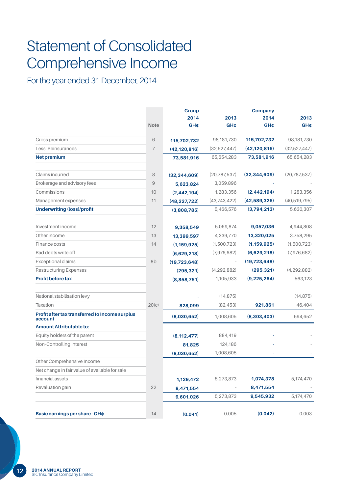# Statement of Consolidated Comprehensive Income

For the year ended 31 December, 2014

|                                                           |                | Group          |                | Company        |                |
|-----------------------------------------------------------|----------------|----------------|----------------|----------------|----------------|
|                                                           |                | 2014           | 2013           | 2014           | 2013           |
|                                                           | <b>Note</b>    | GH¢            | <b>GH¢</b>     | <b>GH¢</b>     | <b>GH¢</b>     |
| Gross premium                                             | 6              | 115,702,732    | 98,181,730     | 115,702,732    | 98,181,730     |
| Less: Reinsurances                                        | $\overline{7}$ | (42, 120, 816) | (32, 527, 447) | (42, 120, 816) | (32, 527, 447) |
| <b>Net premium</b>                                        |                | 73,581,916     | 65,654,283     | 73,581,916     | 65,654,283     |
| Claims incurred                                           | 8              | (32, 344, 609) | (20, 787, 537) | (32, 344, 609) | (20, 787, 537) |
| Brokerage and advisory fees                               | 9              | 5,623,824      | 3,059,896      |                |                |
| Commissions                                               | 10             | (2,442,194)    | 1,283,356      | (2,442,194)    | 1,283,356      |
| Management expenses                                       | 11             | (48, 227, 722) | (43, 743, 422) | (42,589,326)   | (40, 519, 795) |
| <b>Underwriting (loss)/profit</b>                         |                | (3,808,785)    | 5,466,576      | (3,794,213)    | 5,630,307      |
| Investment income                                         | 12             | 9,358,549      | 5,069,874      | 9,057,036      | 4,944,808      |
| Other income                                              | 13             | 13,399,597     | 4,339,770      | 13,320,025     | 3,758,295      |
| Finance costs                                             | 14             | (1, 159, 925)  | (1,500,723)    | (1, 159, 925)  | (1,500,723)    |
| Bad debts write off                                       |                | (6,629,218)    | (7,976,682)    | (6,629,218)    | (7,976,682)    |
| <b>Exceptional claims</b>                                 | 8b             | (19,723,648)   |                | (19,723,648)   |                |
| <b>Restructuring Expenses</b>                             |                | (295, 321)     | (4, 292, 882)  | (295, 321)     | (4, 292, 882)  |
| <b>Profit before tax</b>                                  |                | (8,858,751)    | 1,105,933      | (9, 225, 264)  | 563,123        |
| National stabilisation levy                               |                |                | (14, 875)      |                | (14, 875)      |
| Taxation                                                  | 20(c)          | 828,099        | (82, 453)      | 921,861        | 46,404         |
| Profit after tax transferred to Income surplus<br>account |                | (8,030,652)    | 1,008,605      | (8,303,403)    | 594,652        |
| <b>Amount Attributable to:</b>                            |                |                |                |                |                |
| Equity holders of the parent                              |                | (8, 112, 477)  | 884,419        |                |                |
| Non-Controlling Interest                                  |                | 81,825         | 124,186        |                |                |
|                                                           |                | (8,030,652)    | 1,008,605      |                |                |
| Other Comprehensive Income                                |                |                |                |                |                |
| Net change in fair value of available for sale            |                |                |                |                |                |
| financial assets                                          |                | 1,129,472      | 5,273,873      | 1,074,378      | 5,174,470      |
| Revaluation gain                                          | 22             | 8,471,554      |                | 8,471,554      |                |
|                                                           |                | 9,601,026      | 5,273,873      | 9,545,932      | 5,174,470      |
| Basic earnings per share - GH¢                            | 14             | (0.041)        | 0.005          | (0.042)        | 0.003          |
|                                                           |                |                |                |                |                |

**2014 ANNUAL REPORT** SIC Insurance Company Limited **12**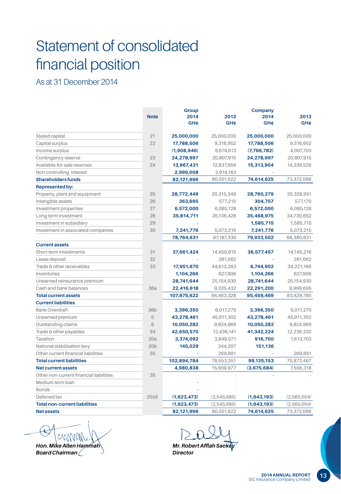# Statement of consolidated financial position

As at 31 December 2014

| <b>Note</b><br>Stated capital<br>21<br>22<br>Capital surplus<br>Income surplus<br>23<br>Contingency reserve<br>Available-for-sale reserves<br>24<br>Non controlling interest<br><b>Shareholders funds</b><br><b>Represented by:</b><br>Property, plant and equipment<br>25<br>26<br>Intangible assets<br>27<br>Investment properties<br>28 | 2014<br><b>GH¢</b><br>25,000,000<br>17,788,506<br>(1,908,946)<br>24,278,997<br>13,967,431<br>2,996,008<br>82,121,996<br>28,772,449<br>363,695<br>6,572,000<br>35,814,711<br>7,241,776<br>78,764,631 | 2013<br><b>GH¢</b><br>25,000,000<br>9,316,952<br>9,674,613<br>20,807,915<br>12,837,959<br>2,914,183<br>80,551,622<br>20,315,349<br>577,210<br>6,085,128<br>35,136,428<br>5,073,215 | 2014<br><b>GH¢</b><br>25,000,000<br>17,788,506<br>(7,766,782)<br>24,278,997<br>15,313,904<br>74,614,625<br>28,760,279<br>304,757<br>6,572,000<br>35,468,975<br>1,585,715 | 2013<br><b>GH¢</b><br>25,000,000<br>9,316,952<br>4,007,703<br>20,807,915<br>14,239,526<br>73,372,096<br>20,328,951<br>577,170<br>6,085,128<br>34,730,652 |
|--------------------------------------------------------------------------------------------------------------------------------------------------------------------------------------------------------------------------------------------------------------------------------------------------------------------------------------------|-----------------------------------------------------------------------------------------------------------------------------------------------------------------------------------------------------|------------------------------------------------------------------------------------------------------------------------------------------------------------------------------------|--------------------------------------------------------------------------------------------------------------------------------------------------------------------------|----------------------------------------------------------------------------------------------------------------------------------------------------------|
|                                                                                                                                                                                                                                                                                                                                            |                                                                                                                                                                                                     |                                                                                                                                                                                    |                                                                                                                                                                          |                                                                                                                                                          |
|                                                                                                                                                                                                                                                                                                                                            |                                                                                                                                                                                                     |                                                                                                                                                                                    |                                                                                                                                                                          |                                                                                                                                                          |
|                                                                                                                                                                                                                                                                                                                                            |                                                                                                                                                                                                     |                                                                                                                                                                                    |                                                                                                                                                                          |                                                                                                                                                          |
|                                                                                                                                                                                                                                                                                                                                            |                                                                                                                                                                                                     |                                                                                                                                                                                    |                                                                                                                                                                          |                                                                                                                                                          |
|                                                                                                                                                                                                                                                                                                                                            |                                                                                                                                                                                                     |                                                                                                                                                                                    |                                                                                                                                                                          |                                                                                                                                                          |
|                                                                                                                                                                                                                                                                                                                                            |                                                                                                                                                                                                     |                                                                                                                                                                                    |                                                                                                                                                                          |                                                                                                                                                          |
|                                                                                                                                                                                                                                                                                                                                            |                                                                                                                                                                                                     |                                                                                                                                                                                    |                                                                                                                                                                          |                                                                                                                                                          |
|                                                                                                                                                                                                                                                                                                                                            |                                                                                                                                                                                                     |                                                                                                                                                                                    |                                                                                                                                                                          |                                                                                                                                                          |
|                                                                                                                                                                                                                                                                                                                                            |                                                                                                                                                                                                     |                                                                                                                                                                                    |                                                                                                                                                                          |                                                                                                                                                          |
|                                                                                                                                                                                                                                                                                                                                            |                                                                                                                                                                                                     |                                                                                                                                                                                    |                                                                                                                                                                          |                                                                                                                                                          |
|                                                                                                                                                                                                                                                                                                                                            |                                                                                                                                                                                                     |                                                                                                                                                                                    |                                                                                                                                                                          |                                                                                                                                                          |
|                                                                                                                                                                                                                                                                                                                                            |                                                                                                                                                                                                     |                                                                                                                                                                                    |                                                                                                                                                                          |                                                                                                                                                          |
|                                                                                                                                                                                                                                                                                                                                            |                                                                                                                                                                                                     |                                                                                                                                                                                    |                                                                                                                                                                          |                                                                                                                                                          |
| Long term investment                                                                                                                                                                                                                                                                                                                       |                                                                                                                                                                                                     |                                                                                                                                                                                    |                                                                                                                                                                          |                                                                                                                                                          |
| 29<br>Investment in subsidiary                                                                                                                                                                                                                                                                                                             |                                                                                                                                                                                                     |                                                                                                                                                                                    |                                                                                                                                                                          | 1,585,715                                                                                                                                                |
| 30<br>Investment in associated companies                                                                                                                                                                                                                                                                                                   |                                                                                                                                                                                                     |                                                                                                                                                                                    | 7,241,776                                                                                                                                                                | 5,073,215                                                                                                                                                |
|                                                                                                                                                                                                                                                                                                                                            |                                                                                                                                                                                                     | 67,187,330                                                                                                                                                                         | 79,933,502                                                                                                                                                               | 68,380,831                                                                                                                                               |
| <b>Current assets</b>                                                                                                                                                                                                                                                                                                                      |                                                                                                                                                                                                     |                                                                                                                                                                                    |                                                                                                                                                                          |                                                                                                                                                          |
| Short term investments<br>31                                                                                                                                                                                                                                                                                                               | 37,661,424                                                                                                                                                                                          | 14,450,815                                                                                                                                                                         | 36,577,457                                                                                                                                                               | 14,145,216                                                                                                                                               |
| 32<br>Lease deposit                                                                                                                                                                                                                                                                                                                        |                                                                                                                                                                                                     | 281,062                                                                                                                                                                            |                                                                                                                                                                          | 281,062                                                                                                                                                  |
| Trade & other receivables<br>33                                                                                                                                                                                                                                                                                                            | 17,951,670                                                                                                                                                                                          | 44,613,283                                                                                                                                                                         | 6,744,902                                                                                                                                                                | 34,221,166                                                                                                                                               |
| Inventories                                                                                                                                                                                                                                                                                                                                | 1,104,266                                                                                                                                                                                           | 627,806                                                                                                                                                                            | 1,104,266                                                                                                                                                                | 627,806                                                                                                                                                  |
| Unearned reinsurance premium                                                                                                                                                                                                                                                                                                               | 28,741,644                                                                                                                                                                                          | 25,154,930                                                                                                                                                                         | 28,741,644                                                                                                                                                               | 25,154,930                                                                                                                                               |
| 36a<br>Cash and bank balances                                                                                                                                                                                                                                                                                                              | 22,416,618                                                                                                                                                                                          | 9,335,432                                                                                                                                                                          | 22,291,200                                                                                                                                                               | 8,999,605                                                                                                                                                |
| <b>Total current assets</b>                                                                                                                                                                                                                                                                                                                | 107,875,622                                                                                                                                                                                         | 94,463,328                                                                                                                                                                         | 95,459,469                                                                                                                                                               | 83,429,785                                                                                                                                               |
| <b>Current liabilities</b>                                                                                                                                                                                                                                                                                                                 |                                                                                                                                                                                                     |                                                                                                                                                                                    |                                                                                                                                                                          |                                                                                                                                                          |
| <b>Bank Overdraft</b><br>36b                                                                                                                                                                                                                                                                                                               | 3,396,350                                                                                                                                                                                           | 6,017,270                                                                                                                                                                          | 3,396,350                                                                                                                                                                | 6,017,270                                                                                                                                                |
| 5<br>Unearned premium                                                                                                                                                                                                                                                                                                                      | 43,278,461                                                                                                                                                                                          | 45,911,302                                                                                                                                                                         | 43,278,461                                                                                                                                                               | 45,911,302                                                                                                                                               |
| Outstanding claims<br>8                                                                                                                                                                                                                                                                                                                    | 10,050,282                                                                                                                                                                                          | 9,824,969                                                                                                                                                                          | 10,050,282                                                                                                                                                               | 9,824,969                                                                                                                                                |
| 34<br>Trade & other payables                                                                                                                                                                                                                                                                                                               | 42,650,570                                                                                                                                                                                          | 12,436,141                                                                                                                                                                         | 41,342,224                                                                                                                                                               | 12,236,332                                                                                                                                               |
| 20a<br>Taxation                                                                                                                                                                                                                                                                                                                            | 3,374,092                                                                                                                                                                                           | 3,849,571                                                                                                                                                                          | 916,700                                                                                                                                                                  | 1,613,703                                                                                                                                                |
| 20 <sub>b</sub><br>National stabilisation levy                                                                                                                                                                                                                                                                                             | 145,029                                                                                                                                                                                             | 244,207                                                                                                                                                                            | 151,136                                                                                                                                                                  |                                                                                                                                                          |
| 35<br>Other current financial liabilities                                                                                                                                                                                                                                                                                                  |                                                                                                                                                                                                     | 269,891                                                                                                                                                                            |                                                                                                                                                                          | 269,891                                                                                                                                                  |
| <b>Total current liabilities</b>                                                                                                                                                                                                                                                                                                           | 102,894,784                                                                                                                                                                                         | 78,553,351                                                                                                                                                                         | 99,135,153                                                                                                                                                               | 75,873,467                                                                                                                                               |
| <b>Net current assets</b>                                                                                                                                                                                                                                                                                                                  | 4,980,838                                                                                                                                                                                           | 15,909,977                                                                                                                                                                         | (3,675,684)                                                                                                                                                              | 7,556,318                                                                                                                                                |
| Other non-current financial liabilities<br>35                                                                                                                                                                                                                                                                                              |                                                                                                                                                                                                     |                                                                                                                                                                                    |                                                                                                                                                                          |                                                                                                                                                          |
| Medium term loan                                                                                                                                                                                                                                                                                                                           |                                                                                                                                                                                                     |                                                                                                                                                                                    |                                                                                                                                                                          |                                                                                                                                                          |
| <b>Bonds</b>                                                                                                                                                                                                                                                                                                                               |                                                                                                                                                                                                     |                                                                                                                                                                                    |                                                                                                                                                                          |                                                                                                                                                          |
| Deferred tax<br>20(d)                                                                                                                                                                                                                                                                                                                      | (1,623,473)                                                                                                                                                                                         | (2, 545, 685)                                                                                                                                                                      | (1,643,193)                                                                                                                                                              | (2,565,054)                                                                                                                                              |
| <b>Total non-current liabilities</b>                                                                                                                                                                                                                                                                                                       | (1,623,473)                                                                                                                                                                                         | (2, 545, 685)                                                                                                                                                                      | (1,643,193)                                                                                                                                                              | (2, 565, 054)                                                                                                                                            |
| <b>Net assets</b>                                                                                                                                                                                                                                                                                                                          | 82,121,996                                                                                                                                                                                          | 80,551,622                                                                                                                                                                         | 74,614,625                                                                                                                                                               | 73,372,096                                                                                                                                               |

 $\star$ CVIVIN **Hon. Mike Allen Hammah Mr. Robert Afflah Sackey** 

**Board Chairman**  $D$  **Director**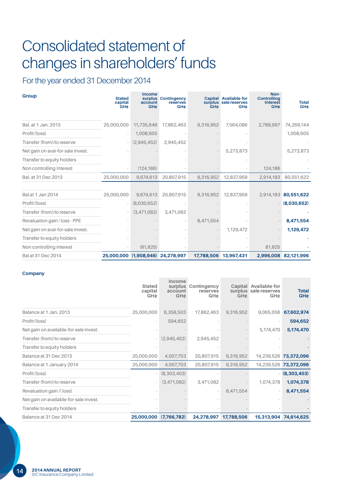# Consolidated statement of changes in shareholders' funds

## For the year ended 31 December 2014

| <b>Group</b>                      | <b>Stated</b><br>capital<br><b>GH¢</b> | <b>Income</b><br>account<br><b>GH¢</b> | surplus Contingency<br>reserves<br>GH¢ | <b>GHc</b> | Capital Available-for<br>surplus sale reserves<br>GH¢ | Non-<br><b>Controlling</b><br><b>Interest</b><br><b>GH¢</b> | <b>Total</b><br><b>GH¢</b> |
|-----------------------------------|----------------------------------------|----------------------------------------|----------------------------------------|------------|-------------------------------------------------------|-------------------------------------------------------------|----------------------------|
|                                   |                                        |                                        |                                        |            |                                                       |                                                             |                            |
| Bal. at 1 Jan. 2013               | 25,000,000                             | 11,735,646                             | 17,862,463                             | 9,316,952  | 7,564,086                                             | 2,789,997                                                   | 74,269,144                 |
| Profit/(loss)                     |                                        | 1,008,605                              |                                        |            |                                                       |                                                             | 1,008,605                  |
| Transfer (from)/to reserve        |                                        | (2,945,452)                            | 2,945,452                              |            |                                                       |                                                             |                            |
| Net gain on avai-for-sale invest. |                                        |                                        |                                        |            | 5,273,873                                             |                                                             | 5,273,873                  |
| Transfer to equity holders        |                                        |                                        |                                        |            |                                                       |                                                             |                            |
| Non controlling Interest          |                                        | (124, 186)                             |                                        |            |                                                       | 124,186                                                     |                            |
| Bal. at 31 Dec 2013               | 25,000,000                             | 9,674,613                              | 20.807.915                             | 9,316,952  | 12,837,959                                            | 2,914,183                                                   | 80,551,622                 |
|                                   |                                        |                                        |                                        |            |                                                       |                                                             |                            |
| Bal at 1 Jan 2014                 | 25,000,000                             | 9,674,613                              | 20,807,915                             | 9,316,952  | 12,837,959                                            |                                                             | 2,914,183 80,551,622       |
| Profit/(loss)                     |                                        | (8,030,652)                            |                                        |            |                                                       |                                                             | (8,030,652)                |
| Transfer (from)/to reserve        |                                        | (3,471,082)                            | 3.471.082                              |            |                                                       |                                                             |                            |
| Revaluation gain / loss - PPE     |                                        |                                        |                                        | 8,471,554  |                                                       |                                                             | 8,471,554                  |
| Net gain on avai-for-sale invest. |                                        |                                        |                                        |            | 1,129,472                                             |                                                             | 1,129,472                  |
| Transfer to equity holders        |                                        |                                        |                                        |            |                                                       |                                                             |                            |
| Non controlling interest          |                                        | (81, 825)                              |                                        |            |                                                       | 81,825                                                      |                            |
| Bal at 31 Dec 2014                |                                        |                                        | 25,000,000 (1,908,946) 24,278,997      |            | 17,788,506 13,967,431                                 |                                                             | 2,996,008 82,121,996       |

#### **Company**

|                                        | <b>Stated</b><br>capital<br>GH¢ | Income<br>account<br>GH <sub>¢</sub> | surplus Contingency<br>reserves<br>GH¢ | GH¢        | Capital Available-for<br>surplus sale reserves<br>GH¢ | <b>Total</b><br><b>GH¢</b> |
|----------------------------------------|---------------------------------|--------------------------------------|----------------------------------------|------------|-------------------------------------------------------|----------------------------|
| Balance at 1 Jan. 2013                 | 25,000,000                      | 6,358,503                            | 17,862,463                             | 9,316,952  | 9,065,056                                             | 67,602,974                 |
| Profit/(loss)                          |                                 | 594,652                              |                                        |            |                                                       | 594,652                    |
| Net gain on available-for-sale invest. |                                 |                                      |                                        |            | 5,174,470                                             | 5,174,470                  |
| Transfer (from)/to reserve             |                                 | (2,945,452)                          | 2,945,452                              |            |                                                       |                            |
| Transfer to equity holders             |                                 |                                      |                                        |            |                                                       |                            |
| Balance at 31 Dec 2013                 | 25,000,000                      | 4,007,703                            | 20,807,915                             | 9,316,952  |                                                       | 14,239,526 73,372,096      |
| Balance at 1 January 2014              | 25,000,000                      | 4,007,703                            | 20,807,915                             | 9,316,952  |                                                       | 14,239,526 73,372,096      |
| Profit/(loss)                          |                                 | (8,303,403)                          |                                        |            |                                                       | $-$ (8,303,403)            |
| Transfer (from)/to reserve             |                                 | (3,471,082)                          | 3,471,082                              |            | 1,074,378                                             | 1,074,378                  |
| Revaluation gain /(loss)               |                                 |                                      |                                        | 8,471,554  |                                                       | 8,471,554                  |
| Net gain on available-for-sale invest. |                                 |                                      |                                        |            |                                                       |                            |
| Transfer to equity holders             |                                 |                                      |                                        |            |                                                       |                            |
| Balance at 31 Dec 2014                 |                                 | 25,000,000 (7,766,782)               | 24,278,997                             | 17,788,506 |                                                       | 15,313,904 74,614,625      |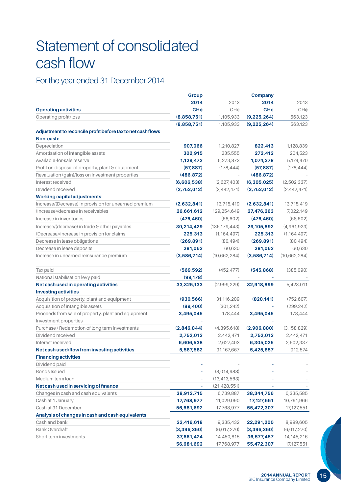# Statement of consolidated cash flow

## For the year ended 31 December 2014

|                                                             | Group         |                 | <b>Company</b> |               |
|-------------------------------------------------------------|---------------|-----------------|----------------|---------------|
|                                                             | 2014          | 2013            | 2014           | 2013          |
| <b>Operating activities</b>                                 | GH¢           | GH¢             | <b>GH¢</b>     | GH¢           |
| Operating profit/loss                                       | (8,858,751)   | 1,105,933       | (9, 225, 264)  | 563,123       |
|                                                             | (8,858,751)   | 1,105,933       | (9, 225, 264)  | 563,123       |
| Adjustment to reconcile profit before tax to net cash flows |               |                 |                |               |
| Non-cash:                                                   |               |                 |                |               |
| Depreciation                                                | 907,066       | 1,210,827       | 822,413        | 1,128,839     |
| Amortisation of intangible assets                           | 302,915       | 235,555         | 272,412        | 204,523       |
| Available-for-sale reserve                                  | 1,129,472     | 5,273,873       | 1,074,378      | 5,174,470     |
| Profit on disposal of property, plant & equipment           | (57, 887)     | (178, 444)      | (57, 887)      | (178, 444)    |
| Revaluation (gain)/loss on investment properties            | (486, 872)    |                 | (486, 872)     |               |
| Interest received                                           | (6,606,538)   | (2,627,403)     | (6, 305, 025)  | (2,502,337)   |
| Dividend received                                           | (2,752,012)   | (2,442,471)     | (2,752,012)    | (2,442,471)   |
| <b>Working capital adjustments:</b>                         |               |                 |                |               |
| Increase/(Decrease) in provision for unearned premium       | (2,632,841)   | 13,715,419      | (2,632,841)    | 13,715,419    |
| (Increase)/decrease in receivables                          | 26,661,612    | 129,254,649     | 27,476,263     | 7,022,149     |
| Increase in inventories                                     | (476, 460)    | (68, 602)       | (476, 460)     | (68, 602)     |
| Increase/(decrease) in trade & other payables               | 30,214,429    | (136, 179, 443) | 29,105,892     | (4,961,923)   |
| (Decrease)/increase in provision for claims                 | 225,313       | (1, 164, 497)   | 225,313        | (1, 164, 497) |
| Decrease in lease obligations                               | (269, 891)    | (80, 494)       | (269, 891)     | (80, 494)     |
| Decrease in lease deposits                                  | 281,062       | 60,630          | 281,062        | 60,630        |
| Increase in unearned reinsurance premium                    | (3,586,714)   | (10,662,284)    | (3,586,714)    | (10,662,284)  |
|                                                             |               |                 |                |               |
| Tax paid                                                    | (569, 592)    | (452, 477)      | (545, 868)     | (385,090)     |
| National stabilisation levy paid                            | (99, 178)     |                 |                |               |
| Net cash used in operating activities                       | 33,325,133    | (2,999,229)     | 32,918,899     | 5,423,011     |
| <b>Investing activities</b>                                 |               |                 |                |               |
| Acquisition of property, plant and equipment                | (930, 566)    | 31,116,209      | (820, 141)     | (752, 607)    |
| Acquisition of intangible assets                            | (89, 400)     | (301, 242)      |                | (299, 242)    |
| Proceeds from sale of property, plant and equipment         | 3,495,045     | 178,444         | 3,495,045      | 178,444       |
| Investment properties                                       |               |                 |                |               |
| Purchase / Redemption of long term investments              | (2,846,844)   | (4,895,618)     | (2,906,880)    | (3, 158, 829) |
| Dividend received                                           | 2,752,012     | 2,442,471       | 2,752,012      | 2,442,471     |
| Interest received                                           | 6,606,538     | 2,627,403       | 6,305,025      | 2,502,337     |
| Net cash used/flow from investing activities                | 5,587,582     | 31,167,667      | 5,425,857      | 912,574       |
| <b>Financing activities</b>                                 |               |                 |                |               |
| Dividend paid                                               |               |                 |                |               |
| <b>Bonds Issued</b>                                         |               | (8,014,988)     |                |               |
| Medium term loan                                            | ۰             | (13, 413, 563)  |                |               |
| Net cash used in servicing of finance                       | ÷,            | (21, 428, 551)  |                |               |
| Changes in cash and cash equivalents                        | 38,912,715    | 6,739,887       | 38,344,756     | 6,335,585     |
| Cash at 1 January                                           | 17,768,977    | 11,029,090      | 17,127,551     | 10,791,966    |
| Cash at 31 December                                         | 56,681,692    | 17,768,977      | 55,472,307     | 17,127,551    |
| Analysis of changes in cash and cash equivalents            |               |                 |                |               |
| Cash and bank                                               | 22,416,618    | 9,335,432       | 22,291,200     | 8,999,605     |
| <b>Bank Overdraft</b>                                       | (3, 396, 350) | (6,017,270)     | (3, 396, 350)  | (6,017,270)   |
| Short term investments                                      | 37,661,424    | 14,450,815      | 36,577,457     | 14,145,216    |
|                                                             | 56,681,692    | 17,768,977      | 55,472,307     | 17,127,551    |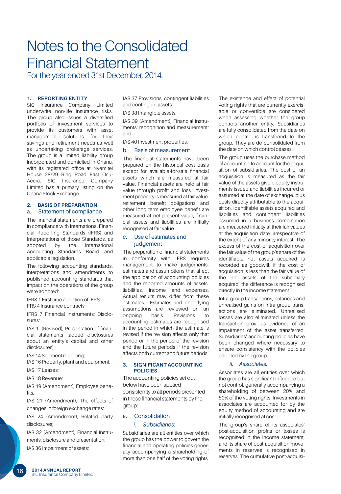# Notes to the Consolidated Financial Statement<br>For the year ended 31st December, 2014.

#### **1. Reporting Entity**

SIC Insurance Company Limited underwrite non-life insurance risks, The group also issues a diversified portfolio of investment services to provide its customers with asset management solutions for their savings and retirement needs as well as undertaking brokerage services. The group is a limited liability group incorporated and domiciled in Ghana, with its registered office at Nyemitei House 28/29 Ring Road East Osu-Accra. SIC Insurance Company Limited has a primary listing on the Ghana Stock Exchange.

#### **2. Basis of preparation**

#### a. Statement of compliance

The financial statements are prepared in compliance with International Financial Reporting Standards (IFRS) and Interpretations of those Standards, as<br>adopted by the International adopted by the International Accounting Standards Board and applicable legislation.

The following accounting standards, interpretations and amendments to published accounting standards that impact on the operations of the group were adopted:

IFRS 1 First time adoption of IFRS; FRS 4 Insurance contracts;

IFRS 7 Financial Instruments: Disclosures;

IAS 1 (Revised), Presentation of financial statements (added disclosures about an entity's capital and other disclosures);

IAS 14 Segment reporting;

IAS 16 Property, plant and equipment;

IAS 17 Leases;

IAS 18 Revenue;

IAS 19 (Amendment), Employee benefits;

IAS 21 (Amendment), The effects of changes in foreign exchange rates;

IAS 24 (Amendment), Related party disclosures;

IAS 32 (Amendment), Financial instruments: disclosure and presentation; IAS 36 Impairment of assets;

IAS 37 Provisions, contingent liabilities and contingent assets;

IAS 38 Intangible assets;

IAS 39 (Amendment), Financial instruments: recognition and measurement; and

IAS 40 Investment properties.

#### b. Basis of measurement

The financial statements have been prepared on the historical cost basis except for available-for-sale financial assets which are measured at fair value. Financial assets are held at fair value through profit and loss, investment property is measured at fair value, retirement benefit obligations and other long term employee benefit are measured at net present value, financial assets and liabilities are initially recognised at fair value.

#### c. Use of estimates and judgement

The preparation of financial statements in conformity with IFRS requires management to make judgements, estimates and assumptions that affect the application of accounting policies and the reported amounts of assets, liabilities, income and expenses. Actual results may differ from these estimates. Estimates and underlying assumptions are reviewed on an ongoing basis. Revisions to accounting estimates are recognised in the period in which the estimate is revised if the revision affects only that period or in the period of the revision and the future periods if the revision affects both current and future periods.

#### **3. Significant accounting policies**

The accounting policies set out below have been applied consistently to all periods presented in these financial statements by the group:

#### a. Consolidation

#### *i. Subsidiaries:*

Subsidiaries are all entities over which the group has the power to govern the financial and operating policies generally accompanying a shareholding of more than one half of the voting rights.

The existence and effect of potential voting rights that are currently exercisable or convertible are considered when assessing whether the group controls another entity. Subsidiaries are fully consolidated from the date on which control is transferred to the group. They are de-consolidated from the date on which control ceases.

The group uses the purchase method of accounting to account for the acquisition of subsidiaries. The cost of an acquisition is measured as the fair value of the assets given, equity instruments issued and liabilities incurred or assumed at the date of exchange, plus costs directly attributable to the acquisition. Identifiable assets acquired and liabilities and contingent liabilities assumed in a business combination are measured initially at their fair values at the acquisition date, irrespective of the extent of any minority interest. The excess of the cost of acquisition over the fair value of the group's share of the identifiable net assets acquired is recorded as goodwill. If the cost of acquisition is less than the fair value of the net assets of the subsidiary acquired, the difference is recognised directly in the income statement.

Intra-group transactions, balances and unrealised gains on intra-group transactions are eliminated. Unrealised losses are also eliminated unless the transaction provides evidence of an impairment of the asset transferred. Subsidiaries' accounting policies have been changed where necessary to ensure consistency with the policies adopted by the group.

#### *ii. Associates:*

Associates are all entities over which the group has significant influence but not control, generally accompanying a shareholding of between 20% and 50% of the voting rights. Investments in associates are accounted for by the equity method of accounting and are initially recognised at cost.

The group's share of its associates' post-acquisition profits or losses is recognised in the income statement, and its share of post-acquisition movements in reserves is recognised in reserves. The cumulative post-acquisi-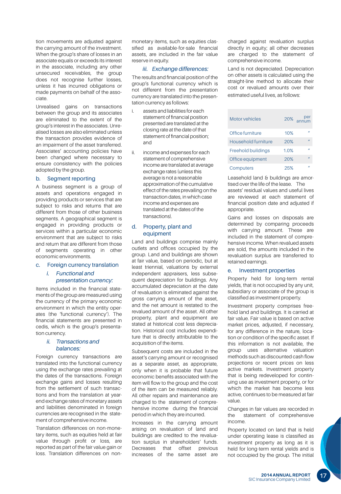tion movements are adjusted against the carrying amount of the investment. When the group's share of losses in an associate equals or exceeds its interest in the associate, including any other unsecured receivables, the group does not recognise further losses, unless it has incurred obligations or made payments on behalf of the associate.

Unrealised gains on transactions between the group and its associates are eliminated to the extent of the group's interest in the associates. Unrealised losses are also eliminated unless the transaction provides evidence of an impairment of the asset transferred. Associates' accounting policies have been changed where necessary to ensure consistency with the policies adopted by the group.

#### b. Segment reporting

A business segment is a group of assets and operations engaged in providing products or services that are subject to risks and returns that are different from those of other business segments. A geographical segment is engaged in providing products or services within a particular economic environment that are subject to risks and return that are different from those of segments operating in other economic environments.

#### c. Foreign currency translation

#### *i. Functional and presentation currency:*

Items included in the financial statements of the group are measured using the currency of the primary economic environment in which the entity operates (the 'functional currency'). The financial statements are presented in cedis, which is the group's presentation currency.

#### *ii. Transactions and balances:*

Foreign currency transactions are translated into the functional currency using the exchange rates prevailing at the dates of the transactions. Foreign exchange gains and losses resulting from the settlement of such transactions and from the translation at yearend exchange rates of monetary assets and liabilities denominated in foreign currencies are recognised in the statement of comprehensive income.

Translation differences on non-monetary items, such as equities held at fair value through profit or loss, are reported as part of the fair value gain or loss. Translation differences on non-

monetary items, such as equities classified as available-for-sale financial assets, are included in the fair value reserve in equity.

#### *iii. Exchange differences:*

The results and financial position of the group's functional currency which is not different from the presentation currency are translated into the presentation currency as follows:

- i. assets and liabilities for each statement of financial position presented are translated at the closing rate at the date of that statement of financial position; and
- ii. income and expenses for each statement of comprehensive income are translated at average exchange rates (unless this average is not a reasonable approximation of the cumulative effect of the rates prevailing on the transaction dates, in which case income and expenses are translated at the dates of the transactions).

#### d. Property, plant and equipment

Land and buildings comprise mainly outlets and offices occupied by the group. Land and buildings are shown at fair value, based on periodic, but at least triennial, valuations by external independent appraisers, less subsequent depreciation for buildings. Any accumulated depreciation at the date of revaluation is eliminated against the gross carrying amount of the asset, and the net amount is restated to the revalued amount of the asset. All other property, plant and equipment are stated at historical cost less depreciation. Historical cost includes expenditure that is directly attributable to the acquisition of the items.

Subsequent costs are included in the asset's carrying amount or recognised as a separate asset, as appropriate, only when it is probable that future economic benefits associated with the item will flow to the group and the cost of the item can be measured reliably. All other repairs and maintenance are charged to the statement of comprehensive income during the financial period in which they are incurred.

Increases in the carrying amount arising on revaluation of land and buildings are credited to the revaluation surplus in shareholders' funds. Decreases that offset previous increases of the same asset are charged against revaluation surplus directly in equity; all other decreases are charged to the statement of comprehensive income.

Land is not depreciated. Depreciation on other assets is calculated using the straight-line method to allocate their cost or revalued amounts over their estimated useful lives, as follows:

| <b>Motor vehicles</b>     | 20%  | per            |
|---------------------------|------|----------------|
| Office furniture          | 10%  | $\overline{u}$ |
| Household furniture       | 20%  | $\mathbf{u}$   |
| <b>Freehold buildings</b> | 1.0% | $\overline{u}$ |
| Office equipment          | 20%  | $\mathbf{u}$   |
| <b>Computers</b>          | 25%  | $\overline{u}$ |

Leasehold land & buildings are amortised over the life of the lease. The assets' residual values and useful lives are reviewed at each statement of financial position date and adjusted if appropriate.

Gains and losses on disposals are determined by comparing proceeds with carrying amount. These are included in the statement of comprehensive income. When revalued assets are sold, the amounts included in the revaluation surplus are transferred to retained earnings.

#### e. Investment properties

Property held for long-term rental yields, that is not occupied by any unit, subsidiary or associate of the group is classified as investment property.

Investment property comprises freehold land and buildings. It is carried at fair value. Fair value is based on active market prices, adjusted, if necessary, for any difference in the nature, location or condition of the specific asset. If this information is not available, the group uses alternative valuation methods such as discounted cash flow projections or recent prices on less active markets. Investment property that is being redeveloped for continuing use as investment property, or for which the market has become less active, continues to be measured at fair value.

Changes in fair values are recorded in the statement of comprehensive income.

Property located on land that is held under operating lease is classified as investment property as long as it is held for long-term rental yields and is not occupied by the group. The initial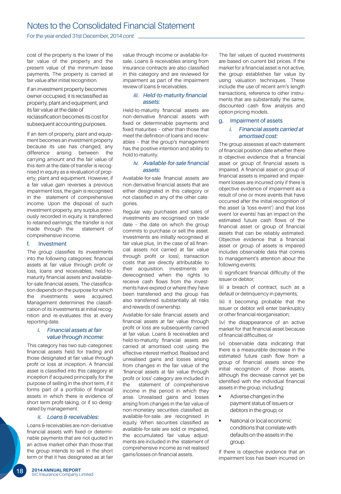## Notes to the Consolidated Financial Statement

#### For the year ended 31st December, 2014 *cont.*

cost of the property is the lower of the fair value of the property and the present value of the minimum lease payments. The property is carried at fair value after initial recognition.

If an investment property becomes owner-occupied, it is reclassified as property, plant and equipment, and its fair value at the date of

reclassification becomes its cost for subsequent accounting purposes.

If an item of property, plant and equipment becomes an investment property because its use has changed, any difference arising between the carrying amount and the fair value of this item at the date of transfer is recognised in equity as a revaluation of property, plant and equipment. However, if a fair value gain reverses a previous impairment loss, the gain is recognised in the statement of comprehensive income. Upon the disposal of such investment property, any surplus previously recorded in equity is transferred to retained earnings; the transfer is not made through the statement of comprehensive income.

#### f. Investment

The group classifies its investments into the following categories: financial assets at fair value through profit or loss, loans and receivables, held-tomaturity financial assets and availablefor-sale financial assets. The classification depends on the purpose for which the investments were acquired. Management determines the classification of its investments at initial recognition and re-evaluates this at every reporting date.

#### *i. Financial assets at fair value through income:*

This category has two sub-categories: financial assets held for trading and those designated at fair value through profit or loss at inception. A financial asset is classified into this category at inception if acquired principally for the purpose of selling in the short term, if it forms part of a portfolio of financial assets in which there is evidence of short term profit-taking, or if so designated by management.

#### *ii. Loans & receivables:*

Loans & receivables are non-derivative financial assets with fixed or determinable payments that are not quoted in an active market other than those that the group intends to sell in the short term or that it has designated as at fair value through income or available-forsale. Loans & receivables arising from insurance contracts are also classified in this category and are reviewed for impairment as part of the impairment review of loans & receivables.

#### *iii. Held-to-maturity financial assets:*

Held-to-maturity financial assets are non-derivative financial assets with fixed or determinable payments and fixed maturities – other than those that meet the definition of loans and receivables – that the group's management has the positive intention and ability to hold to maturity.

#### *iv. Available-for-sale financial assets:*

Available-for-sale financial assets are non-derivative financial assets that are either designated in this category or not classified in any of the other categories.

Regular way purchases and sales of investments are recognised on trade date – the date on which the group commits to purchase or sell the asset. Investments are initially recognised at fair value plus, (in the case of all financial assets not carried at fair value through profit or loss), transaction costs that are directly attributable to their acquisition. Investments are derecognised when the rights to receive cash flows from the investments have expired or where they have been transferred and the group has also transferred substantially all risks and rewards of ownership.

Available-for-sale financial assets and financial assets at fair value through profit or loss are subsequently carried at fair value. Loans & receivables and held-to-maturity financial assets are carried at amortised cost using the effective interest method. Realised and unrealised gains and losses arising from changes in the fair value of the 'financial assets at fair value through profit or loss' category are included in the statement of comprehensive income in the period in which they arise. Unrealised gains and losses arising from changes in the fair value of non-monetary securities classified as available-for-sale are recognised in equity. When securities classified as available-for-sale are sold or impaired, the accumulated fair value adjustments are included in the statement of comprehensive income as net realised gains/losses on financial assets.

The fair values of quoted investments are based on current bid prices. If the market for a financial asset is not active, the group establishes fair value by using valuation techniques. These include the use of recent arm's length transactions, reference to other instruments that are substantially the same, discounted cash flow analysis and option pricing models.

#### g. Impairment of assets

#### *i. Financial assets carried at amortised cost:*

The group assesses at each statement of financial position date whether there is objective evidence that a financial asset or group of financial assets is impaired. A financial asset or group of financial assets is impaired and impairment losses are incurred only if there is objective evidence of impairment as a result of one or more events that have occurred after the initial recognition of the asset (a 'loss event') and that loss event (or events) has an impact on the estimated future cash flows of the financial asset or group of financial assets that can be reliably estimated. Objective evidence that a financial asset or group of assets is impaired includes observable data that comes to management's attention about the following events:

(i) significant financial difficulty of the issuer or debtor;

(ii) a breach of contract, such as a default or delinquency in payments;

(iii) it becoming probable that the issuer or debtor will enter bankruptcy or other financial reorganisation;

(iv) the disappearance of an active market for that financial asset because of financial difficulties; or

(vi) observable data indicating that there is a measurable decrease in the estimated future cash flow from a group of financial assets since the initial recognition of those assets, although the decrease cannot yet be identified with the individual financial assets in the group, including:

- Adverse changes in the payment status of issuers or debtors in the group; or
- National or local economic conditions that correlate with defaults on the assets in the group.

If there is objective evidence that an impairment loss has been incurred on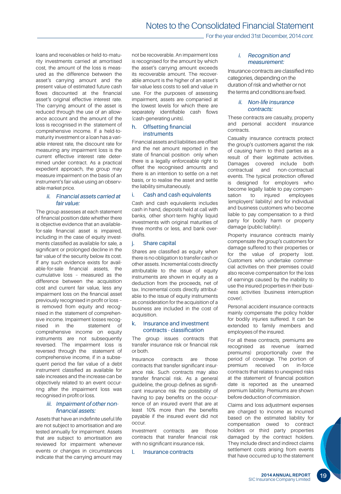For the year ended 31st December, 2014 *cont.*

loans and receivables or held-to-maturity investments carried at amortised cost, the amount of the loss is measured as the difference between the asset's carrying amount and the present value of estimated future cash flows discounted at the financial asset's original effective interest rate. The carrying amount of the asset is reduced through the use of an allowance account and the amount of the loss is recognised in the statement of comprehensive income. If a held-tomaturity investment or a loan has a variable interest rate, the discount rate for measuring any impairment loss is the current effective interest rate determined under contract. As a practical expedient approach, the group may measure impairment on the basis of an instrument's fair value using an observable market price.

#### *ii. Financial assets carried at fair value:*

The group assesses at each statement of financial position date whether there is objective evidence that an availablefor-sale financial asset is impaired, including in the case of equity investments classified as available for sale, a significant or prolonged decline in the fair value of the security below its cost. If any such evidence exists for available-for-sale financial assets, the cumulative loss – measured as the difference between the acquisition cost and current fair value, less any impairment loss on the financial asset previously recognised in profit or loss – is removed from equity and recognised in the statement of comprehensive income. Impairment losses recognised in the statement of comprehensive income on equity instruments are not subsequently reversed. The impairment loss is reversed through the statement of comprehensive income, if in a subsequent period the fair value of a debt instrument classified as available for sale increases and the increase can be objectively related to an event occurring after the impairment loss was recognised in profit or loss.

#### *iii. Impairment of other nonfinancial assets:*

Assets that have an indefinite useful life are not subject to amortisation and are tested annually for impairment. Assets that are subject to amortisation are reviewed for impairment whenever events or changes in circumstances indicate that the carrying amount may

not be recoverable. An impairment loss is recognised for the amount by which the asset's carrying amount exceeds its recoverable amount. The recoverable amount is the higher of an asset's fair value less costs to sell and value in use. For the purposes of assessing impairment, assets are companied at the lowest levels for which there are separately identifiable cash flows (cash-generating units).

#### h. Offsetting financial instruments

Financial assets and liabilities are offset and the net amount reported in the state of financial position only when there is a legally enforceable right to offset the recognised amounts and there is an intention to settle on a net basis, or to realise the asset and settle the liability simultaneously.

#### i. Cash and cash equivalents

Cash and cash equivalents includes cash in hand, deposits held at call with banks, other short-term highly liquid investments with original maturities of three months or less, and bank overdrafts.

#### j. Share capital

Shares are classified as equity when there is no obligation to transfer cash or other assets. Incremental costs directly attributable to the issue of equity instruments are shown in equity as a deduction from the proceeds, net of tax. Incremental costs directly attributable to the issue of equity instruments as consideration for the acquisition of a business are included in the cost of acquisition.

#### k. Insurance and investment contracts - classification

The group issues contracts that transfer insurance risk or financial risk or both.

Insurance contracts are those contracts that transfer significant insurance risk. Such contracts may also transfer financial risk. As a general guideline, the group defines as significant insurance risk the possibility of having to pay benefits on the occurrence of an insured event that are at least 10% more than the benefits payable if the insured event did not occur.

Investment contracts are those contracts that transfer financial risk with no significant insurance risk.

l. Insurance contracts

#### *i. Recognition and measurement:*

Insurance contracts are classified into categories, depending on the duration of risk and whether or not the terms and conditions are fixed.

#### *ii. Non-life insurance contracts:*

These contracts are casualty, property and personal accident insurance contracts.

Casualty insurance contracts protect the group's customers against the risk of causing harm to third parties as a result of their legitimate activities. Damages covered include both contractual and non-contractual events. The typical protection offered is designed for employers who become legally liable to pay compensation to injured employees (employers' liability) and for individual and business customers who become liable to pay compensation to a third party for bodily harm or property damage (public liability).

Property insurance contracts mainly compensate the group's customers for damage suffered to their properties or for the value of property lost. Customers who undertake commercial activities on their premises could also receive compensation for the loss of earnings caused by the inability to use the insured properties in their business activities (business interruption cover).

Personal accident insurance contracts mainly compensate the policy holder for bodily injuries suffered. It can be extended to family members and employees of the insured.

For all these contracts, premiums are recognised as revenue (earned premiums) proportionally over the period of coverage. The portion of premium received on in-force contracts that relates to unexpired risks at the statement of financial position date is reported as the unearned premium liability. Premiums are shown before deduction of commission.

Claims and loss adjustment expenses are charged to income as incurred based on the estimated liability for compensation owed to contract holders or third party properties damaged by the contract holders. They include direct and indirect claims settlement costs arising from events that have occurred up to the statement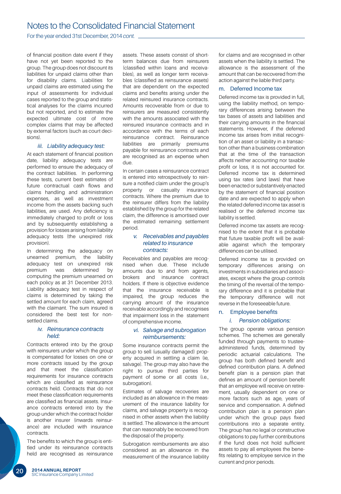#### For the year ended 31st December, 2014 *cont.*

of financial position date event if they have not yet been reported to the group. The group does not discount its liabilities for unpaid claims other than for disability claims. Liabilities for unpaid claims are estimated using the input of assessments for individual cases reported to the group and statistical analyses for the claims incurred but not reported, and to estimate the expected ultimate cost of more complex claims that may be affected by external factors (such as court decisions).

#### *iii. Liability adequacy test:*

At each statement of financial position date, liability adequacy tests are performed to ensure the adequacy of the contract liabilities. In performing these tests, current best estimates of future contractual cash flows and claims handling and administration expenses, as well as investment income from the assets backing such liabilities, are used. Any deficiency is immediately charged to profit or loss and by subsequently establishing a provision for losses arising from liability adequacy tests (the unexpired risk provision).

In determining the adequacy on unearned premium, the liability adequacy test on unexpired risk premium was determined by computing the premium unearned on each policy as at 31 December 2013. Liability adequacy test in respect of claims is determined by taking the settled amount for each claim, agreed with the claimant. The sum insured is considered the best test for nonsettled claims.

#### *iv. Reinsurance contracts held:*

Contracts entered into by the group with reinsurers under which the group is compensated for losses on one or more contracts issued by the group and that meet the classification requirements for insurance contracts which are classified as reinsurance contracts held. Contracts that do not meet these classification requirements are classified as financial assets. Insurance contracts entered into by the group under which the contract holder is another insurer (inwards reinsurance) are included with insurance contracts.

The benefits to which the group is entitled under its reinsurance contracts held are recognised as reinsurance assets. These assets consist of shortterm balances due from reinsurers (classified within loans and receivables), as well as longer term receivables (classified as reinsurance assets) that are dependent on the expected claims and benefits arising under the related reinsured insurance contracts. Amounts recoverable from or due to reinsurers are measured consistently with the amounts associated with the reinsured insurance contracts and in accordance with the terms of each reinsurance contract. Reinsurance liabilities are primarily premiums payable for reinsurance contracts and are recognised as an expense when due.

In certain cases a reinsurance contract is entered into retrospectively to reinsure a notified claim under the group's property or casualty insurance contracts. Where the premium due to the reinsurer differs from the liability established by the group for the related claim, the difference is amortised over the estimated remaining settlement period.

#### *v. Receivables and payables related to insurance contracts:*

Receivables and payables are recognised when due. These include amounts due to and from agents, brokers and insurance contract holders. If there is objective evidence that the insurance receivable is impaired, the group reduces the carrying amount of the insurance receivable accordingly and recognises that impairment loss in the statement of comprehensive income.

#### *vi. Salvage and subrogation reimbursements:*

Some insurance contracts permit the group to sell (usually damaged) property acquired in settling a claim (ie, salvage). The group may also have the right to pursue third parties for payment of some or all costs (i.e., subrogation).

Estimates of salvage recoveries are included as an allowance in the measurement of the insurance liability for claims, and salvage property is recognised in other assets when the liability is settled. The allowance is the amount that can reasonably be recovered from the disposal of the property.

Subrogation reimbursements are also considered as an allowance in the measurement of the insurance liability for claims and are recognised in other assets when the liability is settled. The allowance is the assessment of the amount that can be recovered from the action against the liable third party.

#### m. Deferred Income tax

Deferred income tax is provided in full, using the liability method, on temporary differences arising between the tax bases of assets and liabilities and their carrying amounts in the financial statements. However, if the deferred income tax arises from initial recognition of an asset or liability in a transaction other than a business combination that at the time of the transaction affects neither accounting nor taxable profit or loss, it is not accounted for. Deferred income tax is determined using tax rates (and laws) that have been enacted or substantively enacted by the statement of financial position date and are expected to apply when the related deferred income tax asset is realised or the deferred income tax liability is settled.

Deferred income tax assets are recognised to the extent that it is probable that future taxable profit will be available against which the temporary differences can be utilised.

Deferred income tax is provided on temporary differences arising on investments in subsidiaries and associates, except where the group controls the timing of the reversal of the temporary difference and it is probable that the temporary difference will not reverse in the foreseeable future.

#### n. Employee benefits

#### *i. Pension obligations:*

The group operate various pension schemes. The schemes are generally funded through payments to trusteeadministered funds, determined by periodic actuarial calculations. The group has both defined benefit and defined contribution plans. A defined benefit plan is a pension plan that defines an amount of pension benefit that an employee will receive on retirement, usually dependent on one or more factors such as age, years of service and compensation. A defined contribution plan is a pension plan under which the group pays fixed contributions into a separate entity. The group has no legal or constructive obligations to pay further contributions if the fund does not hold sufficient assets to pay all employees the benefits relating to employee service in the current and prior periods.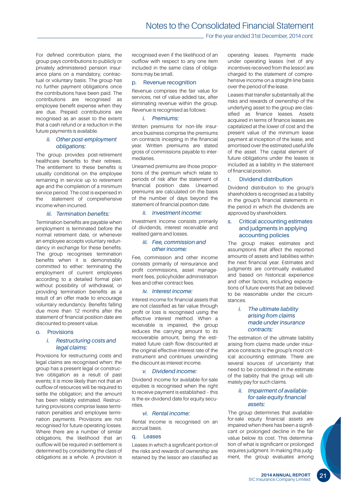For defined contribution plans, the group pays contributions to publicly or privately administered pension insurance plans on a mandatory, contractual or voluntary basis. The group has no further payment obligations once the contributions have been paid. The contributions are recognised as employee benefit expense when they are due. Prepaid contributions are recognised as an asset to the extent that a cash refund or a reduction in the future payments is available.

#### *ii. Other post-employment obligations:*

The group provides post-retirement healthcare benefits to their retirees. The entitlement to these benefits is usually conditional on the employee remaining in service up to retirement age and the completion of a minimum service period. The cost is expensed in the statement of comprehensive income when incurred.

#### *iii. Termination benefits:*

Termination benefits are payable when employment is terminated before the normal retirement date, or whenever an employee accepts voluntary redundancy in exchange for these benefits. The group recognises termination benefits when it is demonstrably committed to either: terminating the employment of current employees according to a detailed formal plan without possibility of withdrawal; or providing termination benefits as a result of an offer made to encourage voluntary redundancy. Benefits falling due more than 12 months after the statement of financial position date are discounted to present value.

#### o. Provisions

#### *i. Restructuring costs and legal claims:*

Provisions for restructuring costs and legal claims are recognised when: the group has a present legal or constructive obligation as a result of past events; it is more likely than not that an outflow of resources will be required to settle the obligation; and the amount has been reliably estimated. Restructuring provisions comprise lease termination penalties and employee termination payments. Provisions are not recognised for future operating losses. Where there are a number of similar obligations, the likelihood that an outflow will be required in settlement is determined by considering the class of obligations as a whole. A provision is

recognised even if the likelihood of an outflow with respect to any one item included in the same class of obligations may be small.

#### p. Revenue recognition

Revenue comprises the fair value for services, net of value-added tax, after eliminating revenue within the group. Revenue is recognised as follows:

#### *i. Premiums:*

Written premiums for non-life insurance business comprise the premiums on contracts incepting in the financial year. Written premiums are stated gross of commissions payable to intermediaries.

Unearned premiums are those proportions of the premium which relate to periods of risk after the statement of financial position date. Unearned premiums are calculated on the basis of the number of days beyond the statement of financial position date.

#### *ii. Investment income:*

Investment income consists primarily of dividends, interest receivable and realised gains and losses.

#### *iii. Fee, commission and other income:*

Fee, commission and other income consists primarily of reinsurance and profit commissions, asset management fees, policyholder administration fees and other contract fees.

#### *iv. Interest income:*

Interest income for financial assets that are not classified as fair value through profit or loss is recognised using the effective interest method. When a receivable is impaired, the group reduces the carrying amount to its recoverable amount, being the estimated future cash flow discounted at the original effective interest rate of the instrument and continues unwinding the discount as interest income.

#### *v. Dividend income:*

Dividend income for available-for-sale equities is recognised when the right to receive payment is established – this is the ex-dividend date for equity securities.

#### *vi. Rental income:*

Rental income is recognised on an accrual basis.

#### q. Leases

Leases in which a significant portion of the risks and rewards of ownership are retained by the lessor are classified as operating leases. Payments made under operating leases (net of any incentives received from the lessor) are charged to the statement of comprehensive income on a straight-line basis over the period of the lease.

Leases that transfer substantially all the risks and rewards of ownership of the underlying asset to the group are classified as finance leases. Assets acquired in terms of finance leases are capitalized at the lower of cost and the present value of the minimum lease payment at inception of the lease, and amortised over the estimated useful life of the asset. The capital element of future obligations under the leases is included as a liability in the statement of financial position.

#### r. Dividend distribution

Dividend distribution to the group's shareholders is recognised as a liability in the group's financial statements in the period in which the dividends are approved by shareholders.

#### s. Critical accounting estimates and judgments in applying accounting policies

The group makes estimates and assumptions that affect the reported amounts of assets and liabilities within the next financial year. Estimates and judgments are continually evaluated and based on historical experience and other factors, including expectations of future events that are believed to be reasonable under the circumstances.

#### *i. The ultimate liability arising from claims made under insurance contracts:*

The estimation of the ultimate liability arising from claims made under insurance contracts is the group's most critical accounting estimate. There are several sources of uncertainty that need to be considered in the estimate of the liability that the group will ultimately pay for such claims.

#### *ii. Impairment of availablefor-sale equity financial assets:*

The group determines that availablefor-sale equity financial assets are impaired when there has been a significant or prolonged decline in the fair value below its cost. This determination of what is significant or prolonged requires judgment. In making this judgment, the group evaluates among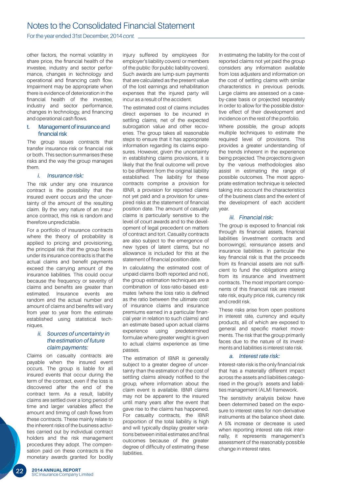## Notes to the Consolidated Financial Statement

#### For the year ended 31st December, 2014 *cont.*

other factors, the normal volatility in share price, the financial health of the investee, industry and sector performance, changes in technology and operational and financing cash flow. Impairment may be appropriate when there is evidence of deterioration in the financial health of the investee, industry and sector performance, changes in technology, and financing and operational cash flows.

#### t. Management of insurance and financial risk

The group issues contracts that transfer insurance risk or financial risk or both. This section summarises these risks and the way the group manages them.

#### *i. Insurance risk:*

The risk under any one insurance contract is the possibility that the insured event occurs and the uncertainty of the amount of the resulting claim. By the very nature of an insurance contract, this risk is random and therefore unpredictable.

For a portfolio of insurance contracts where the theory of probability is applied to pricing and provisioning, the principal risk that the group faces under its insurance contracts is that the actual claims and benefit payments exceed the carrying amount of the insurance liabilities. This could occur because the frequency or severity of claims and benefits are greater than estimated. Insurance events are random and the actual number and amount of claims and benefits will vary from year to year from the estimate established using statistical techniques.

#### *ii. Sources of uncertainty in the estimation of future claim payments:*

Claims on casualty contracts are payable when the insured event occurs. The group is liable for all insured events that occur during the term of the contract, even if the loss is discovered after the end of the contract term. As a result, liability claims are settled over a long period of time and larger variables affect the amount and timing of cash flows from these contracts. These mainly relate to the inherent risks of the business activities carried out by individual contract holders and the risk management procedures they adopt. The compensation paid on these contracts is the monetary awards granted for bodily injury suffered by employees (for employer's liability covers) or members of the public (for public liability covers). Such awards are lump-sum payments that are calculated as the present value of the lost earnings and rehabilitation expenses that the injured party will incur as a result of the accident.

The estimated cost of claims includes direct expenses to be incurred in settling claims, net of the expected subrogation value and other recoveries. The group takes all reasonable steps to ensure that it has appropriate information regarding its claims exposures. However, given the uncertainty in establishing claims provisions, it is likely that the final outcome will prove to be different from the original liability established. The liability for these contracts comprise a provision for IBNR, a provision for reported claims not yet paid and a provision for unexpired risks at the statement of financial position date. The amount of casualty claims is particularly sensitive to the level of court awards and to the development of legal precedent on matters of contract and tort. Casualty contracts are also subject to the emergence of new types of latent claims, but no allowance is included for this at the statement of financial position date.

In calculating the estimated cost of unpaid claims (both reported and not), the group estimation techniques are a combination of loss-ratio-based estimates (where the loss ratio is defined as the ratio between the ultimate cost of insurance claims and insurance premiums earned in a particular financial year in relation to such claims) and an estimate based upon actual claims experience using predetermined formulae where greater weight is given to actual claims experience as time passes.

The estimation of IBNR is generally subject to a greater degree of uncertainty than the estimation of the cost of settling claims already notified to the group, where information about the claim event is available. IBNR claims may not be apparent to the insured until many years after the event that gave rise to the claims has happened. For casualty contracts, the IBNR proportion of the total liability is high and will typically display greater variations between initial estimates and final outcomes because of the greater degree of difficulty of estimating these liabilities.

In estimating the liability for the cost of reported claims not yet paid the group considers any information available from loss adjusters and information on the cost of settling claims with similar characteristics in previous periods. Large claims are assessed on a caseby-case basis or projected separately in order to allow for the possible distortive effect of their development and incidence on the rest of the portfolio.

Where possible, the group adopts multiple techniques to estimate the required level of provisions. This provides a greater understanding of the trends inherent in the experience being projected. The projections given by the various methodologies also assist in estimating the range of possible outcomes. The most appropriate estimation technique is selected taking into account the characteristics of the business class and the extent of the development of each accident year.

#### *iii. Financial risk:*

The group is exposed to financial risk through its financial assets, financial liabilities (investment contracts and borrowings), reinsurance assets and insurance liabilities. In particular the key financial risk is that the proceeds from its financial assets are not sufficient to fund the obligations arising from its insurance and investment contracts. The most important components of this financial risk are interest rate risk, equity price risk, currency risk and credit risk.

These risks arise from open positions in interest rate, currency and equity products, all of which are exposed to general and specific market movements. The risk that the group primarily faces due to the nature of its investments and liabilities is interest rate risk.

#### *a. Interest rate risk:*

Interest-rate risk is the only financial risk that has a materially different impact across the assets and liabilities categorised in the group's assets and liabilities management (ALM) framework.

The sensitivity analysis below have been determined based on the exposure to interest rates for non-derivative instruments at the balance sheet date. A 5% increase or decrease is used when reporting interest rate risk internally, it represents management's assessment of the reasonably possible change in interest rates.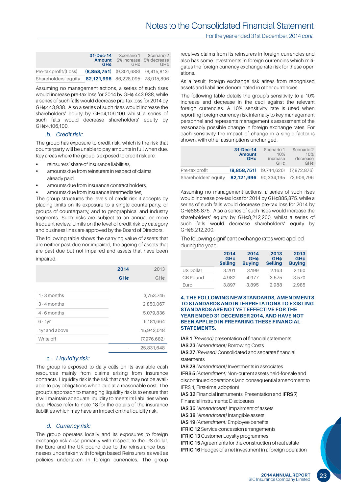|                       | 31-Dec-14<br><b>Amount</b><br><b>GHc</b>  | GH¢ | Scenario 1 Scenario 2<br>5% increase 5% decrease<br>GHC |
|-----------------------|-------------------------------------------|-----|---------------------------------------------------------|
| Pre-tax profit/(Loss) | $(8,858,751)$ $(9,301,688)$ $(8,415,813)$ |     |                                                         |
| Shareholders' equity  | 82,121,996 86,228,095 78,015,896          |     |                                                         |

Assuming no management actions, a series of such rises would increase pre-tax loss for 2014 by GH¢ 443,938, while a series of such falls would decrease pre-tax loss for 2014 by GH¢443,938. Also a series of such rises would increase the shareholders' equity by GH¢4,106,100 whilst a series of such falls would decrease shareholders' equity by GH¢4,106,100.

#### *b. Credit risk:*

The group has exposure to credit risk, which is the risk that counterparty will be unable to pay amounts in full when due. Key areas where the group is exposed to credit risk are:

- reinsurers' share of insurance liabilities,
- amounts due from reinsurers in respect of claims already paid,
- amounts due from insurance contract holders,
- amounts due from insurance intermediaries,

The group structures the levels of credit risk it accepts by placing limits on its exposure to a single counterparty, or groups of counterparty, and to geographical and industry segments. Such risks are subject to an annual or more frequent review. Limits on the level of credit risk by category and business lines are approved by the Board of Directors.

The following table shows the carrying value of assets that are neither past due nor impaired, the ageing of assets that are past due but not impaired and assets that have been impaired.

|                | 2014 | 2013        |
|----------------|------|-------------|
|                | GH¢  | GHC         |
|                |      |             |
| $1 - 3$ months |      | 3,753,745   |
| $3 - 4$ months |      | 2,850,067   |
| $4 - 6$ months |      | 5,079,836   |
| $6 - 1vr$      |      | 6,181,664   |
| 1yr and above  |      | 15,943,018  |
| Write off      |      | (7,976,682) |
|                |      | 25,831,648  |

#### *c. Liquidity risk:*

The group is exposed to daily calls on its available cash resources mainly from claims arising from insurance contracts. Liquidity risk is the risk that cash may not be available to pay obligations when due at a reasonable cost. The group's approach to managing liquidity risk is to ensure that it will maintain adequate liquidity to meets its liabilities when due. Please refer to note 18 for the details of the insurance liabilities which may have an impact on the liquidity risk.

#### *d. Currency risk:*

The group operates locally and its exposures to foreign exchange risk arise primarily with respect to the US dollar, the Euro and the UK pound due to the reinsurance businesses undertaken with foreign based Reinsurers as well as policies undertaken in foreign currencies. The group

receives claims from its reinsurers in foreign currencies and also has some investments in foreign currencies which mitigates the foreign currency exchange rate risk for these operations.

As a result, foreign exchange risk arises from recognised assets and liabilities denominated in other currencies.

The following table details the group's sensitivity to a 10% increase and decrease in the cedi against the relevant foreign currencies. A 10% sensitivity rate is used when reporting foreign currency risk internally to key management personnel and represents management's assessment of the reasonably possible change in foreign exchange rates. For each sensitivity the impact of change in a single factor is shown, with other assumptions unchanged.

|                      | 31-Dec-14<br><b>Amount</b><br>GH¢         | Scenario 1<br>10%<br>increase<br>GHC | Scenario 2<br>10%<br>decrease<br>GHC |
|----------------------|-------------------------------------------|--------------------------------------|--------------------------------------|
| Pre-tax profit       | $(8.858.751)$ $(9.744.626)$ $(7.972.876)$ |                                      |                                      |
| Shareholders' equity |                                           | 82,121,996 90,334,195 73,909,796     |                                      |

Assuming no management actions, a series of such rises would increase pre-tax loss for 2014 by GH¢885,875, while a series of such falls would decrease pre-tax loss for 2014 by GH¢885,875. Also a series of such rises would increase the shareholders' equity by GH¢8,212,200, whilst a series of such falls would decrease shareholders' equity by GH¢8,212,200.

The following significant exchange rates were applied during the year:

|                  | 2014<br>GH¢<br><b>Selling</b> | 2014<br>GH¢<br><b>Buving</b> | 2013<br><b>GH¢</b><br><b>Selling</b> | 2013<br>GH¢<br><b>Buving</b> |
|------------------|-------------------------------|------------------------------|--------------------------------------|------------------------------|
| <b>US Dollar</b> | 3.201                         | 3.199                        | 2.163                                | 2.160                        |
| <b>GB Pound</b>  | 4.982                         | 4.977                        | 3.575                                | 3.570                        |
| Euro             | 3.897                         | 3.895                        | 2.988                                | 2.985                        |

#### **4. The following new standards, amendments to standards and interpretations to existing standards are not yet effective for the year ended 31 December 2014, and have not been applied in preparing these financial STATEMENTS.**

**IAS 1** *(Revised)* presentation of financial statements **IAS 23** *(Amendment)* Borrowing Costs

**IAS 27** *(Revised)* Consolidated and separate financial statements

**IAS 28** *(Amendment)* Investments in associates

**IFRS 5** *(Amendment)* Non-current assets held-for-sale and discontinued operations (and consequential amendment to IFRS 1, First-time adoption)

**IAS 32** Financial instruments: Presentation and **IFRS 7**, Financial instruments: Disclosures

**IAS 36** *(Amendment)* Impairment of assets

**IAS 38** *(Amendment)* Intangible assets

**IAS 19** *(Amendment)* Employee benefits

**IFRIC 12** Service concession arrangements

**IFRIC 13** Customer Loyalty programmes

**IFRIC 15** Agreements for the construction of real estate **IFRIC 16** Hedges of a net investment in a foreign operation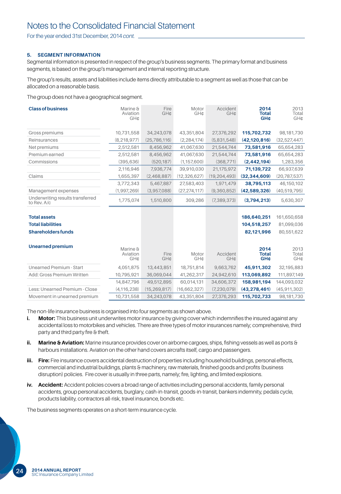#### For the year ended 31st December, 2014 *cont.*

#### **5. Segment information**

Segmental information is presented in respect of the group's business segments. The primary format and business segments, is based on the group's management and internal reporting structure.

The group's results, assets and liabilities include items directly attributable to a segment as well as those that can be allocated on a reasonable basis.

The group does not have a geographical segment.

| <b>Class of business</b>                        | Marine &<br>Aviation<br>GHC | Fire<br>GH¢    | Motor<br>GH¢   | Accident<br>GH¢ | 2014<br><b>Total</b><br><b>GH¢</b> | 2013<br>Total<br>GH¢ |
|-------------------------------------------------|-----------------------------|----------------|----------------|-----------------|------------------------------------|----------------------|
| Gross premiums                                  | 10,731,558                  | 34,243,078     | 43.351.804     | 27,376,292      | 115,702,732                        | 98,181,730           |
| Reinsurances                                    | (8, 218, 977)               | (25,786,116)   | (2, 284, 174)  | (5,831,548)     | (42, 120, 816)                     | (32,527,447)         |
| Net premiums                                    | 2,512,581                   | 8,456,962      | 41,067,630     | 21,544,744      | 73,581,916                         | 65,654,283           |
| Premium earned                                  | 2,512,581                   | 8,456,962      | 41,067,630     | 21,544,744      | 73,581,916                         | 65,654,283           |
| Commissions                                     | (395, 636)                  | (520, 187)     | (1, 157, 600)  | (368, 771)      | (2,442,194)                        | 1,283,356            |
|                                                 | 2,116,946                   | 7,936,774      | 39,910,030     | 21,175,972      | 71,139,722                         | 66,937,639           |
| Claims                                          | 1,655,397                   | (2,468,887)    | (12, 326, 627) | (19, 204, 493)  | (32, 344, 609)                     | (20, 787, 537)       |
|                                                 | 3,772,343                   | 5,467,887      | 27,583,403     | 1,971,479       | 38,795,113                         | 46,150,102           |
| Management expenses                             | (1,997,269)                 | (3,957,088)    | (27, 274, 117) | (9,360,852)     | (42,589,326)                       | (40, 519, 795)       |
| Underwriting results transferred<br>to Rev. A/c | 1,775,074                   | 1,510,800      | 309,286        | (7,389,373)     | (3,794,213)                        | 5,630,307            |
| <b>Total assets</b>                             |                             |                |                |                 | 186,640,251                        | 161,650,658          |
| <b>Total liabilities</b>                        |                             |                |                |                 | 104,518,257                        | 81,099,036           |
| <b>Shareholders funds</b>                       |                             |                |                |                 | 82,121,996                         | 80,551,622           |
| <b>Unearned premium</b>                         | Marine &<br>Aviation<br>GH¢ | Fire<br>GHC    | Motor<br>GH¢   | Accident<br>GHC | 2014<br><b>Total</b><br>GH¢        | 2013<br>Total<br>GHC |
| <b>Unearned Premium - Start</b>                 | 4,051,875                   | 13,443,851     | 18,751,814     | 9,663,762       | 45,911,302                         | 32,195,883           |
| Add: Gross Premium Written                      | 10,795,921                  | 36,069,044     | 41,262,317     | 24,942,610      | 113,069,892                        | 111,897,149          |
|                                                 | 14,847,796                  | 49,512,895     | 60,014,131     | 34,606,372      | 158,981,194                        | 144,093,032          |
| Less: Unearned Premium - Close                  | (4, 116, 238)               | (15, 269, 817) | (16,662,327)   | (7,230,079)     | (43, 278, 461)                     | (45, 911, 302)       |
| Movement in unearned premium                    | 10,731,558                  | 34,243,078     | 43,351,804     | 27,376,293      | 115,702,733                        | 98,181,730           |

The non-life insurance business is organised into four segments as shown above.

- **i.** Motor: This business unit underwrites motor insurance by giving cover which indemnifies the insured against any accidental loss to motorbikes and vehicles. There are three types of motor insurances namely; comprehensive, third party and third party fire & theft.
- **ii.** Marine & Aviation: Marine insurance provides cover on airborne cargoes, ships, fishing vessels as well as ports & harbours installations. Aviation on the other hand covers aircrafts itself, cargo and passengers.
- **iii.** Fire: Fire insurance covers accidental destruction of properties including household buildings, personal effects, commercial and industrial buildings, plants & machinery, raw materials, finished goods and profits (business disruption) policies. Fire cover is usually in three parts, namely; fire, lighting, and limited explosions.
- **iv. Accident:** Accident policies covers a broad range of activities including personal accidents, family personal accidents, group personal accidents, burglary, cash-in-transit, goods-in-transit, bankers indemnity, pedals cycle, products liability, contractors all-risk, travel insurance, bonds etc.

The business segments operates on a short-term insurance cycle.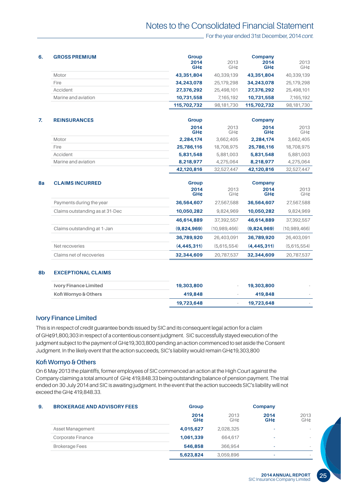## Notes to the Consolidated Financial Statement

For the year ended 31st December, 2014 *cont.*

| 6. | <b>GROSS PREMIUM</b>            | Group<br>2014        | 2013         | Company<br>2014               | 2013         |
|----|---------------------------------|----------------------|--------------|-------------------------------|--------------|
|    | Motor                           | GH¢                  | GHC          | <b>GH¢</b>                    | GHC          |
|    |                                 | 43,351,804           | 40.339.139   | 43,351,804                    | 40,339,139   |
|    | Fire                            | 34,243,078           | 25,179,298   | 34,243,078                    | 25,179,298   |
|    | Accident<br>Marine and aviation | 27,376,292           | 25.498.101   | 27,376,292                    | 25,498,101   |
|    |                                 | 10,731,558           | 7,165,192    | 10,731,558                    | 7,165,192    |
|    |                                 | 115,702,732          | 98,181,730   | 115,702,732                   | 98,181,730   |
| 7. | <b>REINSURANCES</b>             | Group                |              | <b>Company</b>                |              |
|    |                                 | 2014<br>GH¢          | 2013<br>GH¢  | 2014<br><b>GH¢</b>            | 2013<br>GH¢  |
|    | Motor                           | 2,284,174            | 3,662,405    | 2,284,174                     | 3,662,405    |
|    | Fire                            | 25,786,116           | 18,708,975   | 25,786,116                    | 18,708,975   |
|    | Accident                        | 5,831,548            | 5.881.003    | 5,831,548                     | 5,881,003    |
|    | Marine and aviation             | 8,218,977            | 4,275,064    | 8,218,977                     | 4,275,064    |
|    |                                 | 42,120,816           | 32,527,447   | 42,120,816                    | 32,527,447   |
| 8a | <b>CLAIMS INCURRED</b>          | Group<br>2014<br>GH¢ | 2013<br>GHC  | Company<br>2014<br><b>GH¢</b> | 2013<br>GH¢  |
|    | Payments during the year        | 36,564,607           | 27,567,588   | 36,564,607                    | 27,567,588   |
|    | Claims outstanding as at 31-Dec | 10,050,282           | 9,824,969    | 10,050,282                    | 9,824,969    |
|    |                                 | 46,614,889           | 37,392,557   | 46,614,889                    | 37,392,557   |
|    | Claims outstanding at 1-Jan     | (9,824,969)          | (10,989,466) | (9,824,969)                   | (10,989,466) |
|    |                                 | 36,789,920           | 26,403,091   | 36,789,920                    | 26,403,091   |
|    | Net recoveries                  | (4, 445, 311)        | (5,615,554)  | (4, 445, 311)                 | (5,615,554)  |
|    | Claims net of recoveries        | 32,344,609           | 20,787,537   | 32,344,609                    | 20,787,537   |

#### **8b Exceptional claims**

| Ivory Finance Limited | 19,303,800 | 19,303,800        |  |
|-----------------------|------------|-------------------|--|
| Kofi Wornyo & Others  | 419,848    | 419,848<br>$\sim$ |  |
|                       | 19,723,648 | 19,723,648        |  |

#### **Ivory Finance Limited**

This is in respect of credit guarantee bonds issued by SIC and its consequent legal action for a claim of GH¢91,800,303 in respect of a contentious consent judgment. SIC successfully stayed execution of the judgment subject to the payment of GH¢19,303,800 pending an action commenced to set aside the Consent Judgment. In the likely event that the action succeeds, SIC's liability would remain GH¢19,303,800

#### **Kofi Wornyo & Others**

On 6 May 2013 the plaintiffs, former employees of SIC commenced an action at the High Court against the Company claiming a total amount of GH¢ 419,848.33 being outstanding balance of pension payment. The trial ended on 30 July 2014 and SIC is awaiting judgment. In the event that the action succeeds SIC's liability will not exceed the GH¢ 419,848.33.

| 9. | <b>BROKERAGE AND ADVISORY FEES</b> | Group              |             | Company            |                          |
|----|------------------------------------|--------------------|-------------|--------------------|--------------------------|
|    |                                    | 2014<br><b>GH¢</b> | 2013<br>GH¢ | 2014<br><b>GH¢</b> | 2013<br>GHC              |
|    | Asset Management                   | 4,015,627          | 2,028,325   | ۰                  |                          |
|    | Corporate Finance                  | 1,061,339          | 664.617     |                    | $\overline{\phantom{a}}$ |
|    | <b>Brokerage Fees</b>              | 546.858            | 366.954     | -                  | $\overline{\phantom{a}}$ |
|    |                                    | 5,623,824          | 3,059,896   | -                  | $\sim$                   |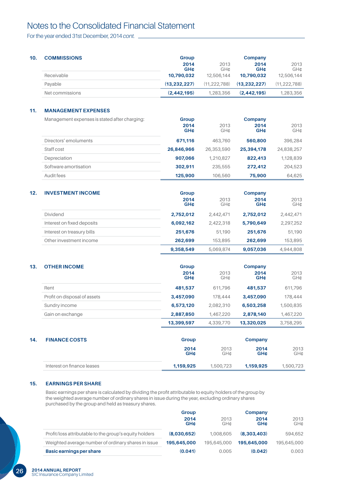## Notes to the Consolidated Financial Statement

For the year ended 31st December, 2014 *cont.*

| 10. | <b>COMMISSIONS</b> | Group        |                | Company        |              |
|-----|--------------------|--------------|----------------|----------------|--------------|
|     |                    | 2014<br>GH¢  | 2013<br>GH¢    | 2014<br>GH¢    | 2013<br>GH¢  |
|     | Receivable         | 10,790,032   | 12.506.144     | 10,790,032     | 12,506,144   |
|     | Payable            | (13.232.227) | (11, 222, 788) | (13, 232, 227) | (11.222.788) |
|     | Net commissions    | (2.442.195)  | 1.283.356      | (2.442.195)    | 1,283,356    |

#### **11. Management expenses**

Management expenses is stated after charging: **Group Company**

|                       | 2014<br><b>GH¢</b> | 2013<br>GHC | 2014<br><b>GH¢</b> | 2013<br>GH¢ |
|-----------------------|--------------------|-------------|--------------------|-------------|
| Directors' emoluments | 671.116            | 463,760     | 560,800            | 396,284     |
| Staff cost            | 26,846,966         | 26,353,590  | 25,394,178         | 24,838,257  |
| Depreciation          | 907.066            | 1.210.827   | 822,413            | 1,128,839   |
| Software amortisation | 302.911            | 235,555     | 272,412            | 204,523     |
| Audit fees            | 125,900            | 106,560     | 75,900             | 64,625      |

| 12. | <b>INVESTMENT INCOME</b>   | Group              |             | Company     |             |
|-----|----------------------------|--------------------|-------------|-------------|-------------|
|     |                            | 2014<br><b>GH¢</b> | 2013<br>GHC | 2014<br>GH¢ | 2013<br>GHC |
|     | Dividend                   | 2,752,012          | 2.442.471   | 2.752.012   | 2,442,471   |
|     | Interest on fixed deposits | 6,092,162          | 2.422.318   | 5,790,649   | 2,297,252   |
|     | Interest on treasury bills | 251.676            | 51.190      | 251,676     | 51.190      |
|     | Other investment income    | 262,699            | 153,895     | 262,699     | 153,895     |
|     |                            | 9,358,549          | 5.069.874   | 9.057.036   | 4.944.808   |

| 13. | <b>OTHER INCOME</b>          | <b>Group</b>       |             | Company            |             |
|-----|------------------------------|--------------------|-------------|--------------------|-------------|
|     |                              | 2014<br>GH¢        | 2013<br>GHC | 2014<br><b>GH¢</b> | 2013<br>GHC |
|     | Rent                         | 481,537            | 611.796     | 481,537            | 611,796     |
|     | Profit on disposal of assets | 3,457,090          | 178,444     | 3,457,090          | 178,444     |
|     | Sundry income                | 6,573,120          | 2.082.310   | 6,503,258          | 1,500,835   |
|     | Gain on exchange             | 2,887,850          | 1,467,220   | 2,878,140          | 1,467,220   |
|     |                              | 13,399,597         | 4,339,770   | 13,320,025         | 3,758,295   |
| 14. | <b>FINANCE COSTS</b>         | Group              |             | Company            |             |
|     |                              | 2014<br><b>GH¢</b> | 2013<br>GHC | 2014<br><b>GH¢</b> | 2013<br>GHC |

## Interest on finance leases **1,159,925** 1,500,723 **1,159,925** 1,500,723

#### **15. Earnings per share**

Basic earnings per share is calculated by dividing the profit attributable to equity holders of the group by the weighted average number of ordinary shares in issue during the year, excluding ordinary shares purchased by the group and held as treasury shares.

|                                                        | <b>Group</b> |             | Company     |             |
|--------------------------------------------------------|--------------|-------------|-------------|-------------|
|                                                        | 2014<br>GH¢  | 2013<br>GHC | 2014<br>GH¢ | 2013<br>GH¢ |
| Profit/loss attributable to the group's equity holders | (8.030.652)  | 1.008.605   | (8,303,403) | 594.652     |
| Weighted average number of ordinary shares in issue    | 195,645,000  | 195,645,000 | 195,645,000 | 195,645,000 |
| Basic earnings per share                               | (0.041)      | 0.005       | (0.042)     | 0.003       |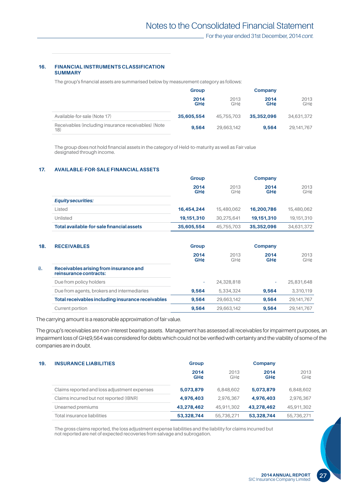#### **16. Financial instruments classification summary**

The group's financial assets are summarised below by measurement category as follows:

|                                                            | <b>Group</b> |             | Company     |             |
|------------------------------------------------------------|--------------|-------------|-------------|-------------|
|                                                            | 2014<br>GH¢  | 2013<br>GHC | 2014<br>GH¢ | 2013<br>GH¢ |
| Available-for-sale (Note 17)                               | 35,605,554   | 45,755,703  | 35,352,096  | 34.631.372  |
| Receivables (including insurance receivables) (Note<br>18) | 9.564        | 29.663.142  | 9.564       | 29.141.767  |

The group does not hold financial assets in the category of Held-to-maturity as well as Fair value designated through income.

#### **17. Available-for-sale financial assets**

|                                           | Group       |             | Company     |             |
|-------------------------------------------|-------------|-------------|-------------|-------------|
|                                           | 2014<br>GH¢ | 2013<br>GHC | 2014<br>GH¢ | 2013<br>GH¢ |
| <b>Equity securities:</b>                 |             |             |             |             |
| Listed                                    | 16,454,244  | 15,480,062  | 16,200,786  | 15,480,062  |
| Unlisted                                  | 19,151,310  | 30.275.641  | 19,151,310  | 19,151,310  |
| Total available-for-sale financial assets | 35,605,554  | 45,755,703  | 35,352,096  | 34,631,372  |

| 18.    | <b>RECEIVABLES</b>                                               | Group              |             | Company            |             |
|--------|------------------------------------------------------------------|--------------------|-------------|--------------------|-------------|
|        |                                                                  | 2014<br><b>GH¢</b> | 2013<br>GHC | 2014<br><b>GH¢</b> | 2013<br>GHC |
| $i$ ). | Receivables arising from insurance and<br>reinsurance contracts: |                    |             |                    |             |
|        | Due from policy holders                                          | ۰                  | 24,328,818  | ٠                  | 25,831,648  |
|        | Due from agents, brokers and intermediaries                      | 9.564              | 5.334.324   | 9.564              | 3,310,119   |
|        | Total receivables including insurance receivables                | 9.564              | 29,663,142  | 9.564              | 29,141,767  |
|        | Current portion                                                  | 9.564              | 29.663.142  | 9.564              | 29.141.767  |

The carrying amount is a reasonable approximation of fair value.

The group's receivables are non-interest bearing assets. Management has assessed all receivables for impairment purposes, an impairment loss of GH¢9,564 was considered for debts which could not be verified with certainty and the viability of some of the companies are in doubt.

| 19. | <b>INSURANCE LIABILITIES</b>                 | Group              |             | Company     |             |
|-----|----------------------------------------------|--------------------|-------------|-------------|-------------|
|     |                                              | 2014<br><b>GH¢</b> | 2013<br>GHC | 2014<br>GH¢ | 2013<br>GHC |
|     | Claims reported and loss adjustment expenses | 5,073,879          | 6.848.602   | 5.073.879   | 6,848,602   |
|     | Claims incurred but not reported (IBNR)      | 4.976.403          | 2.976.367   | 4.976.403   | 2,976,367   |
|     | Unearned premiums                            | 43,278,462         | 45.911.302  | 43,278,462  | 45,911,302  |
|     | Total insurance liabilities                  | 53,328,744         | 55,736,271  | 53,328,744  | 55,736,271  |

The gross claims reported, the loss adjustment expense liabilities and the liability for claims incurred but not reported are net of expected recoveries from salvage and subrogation.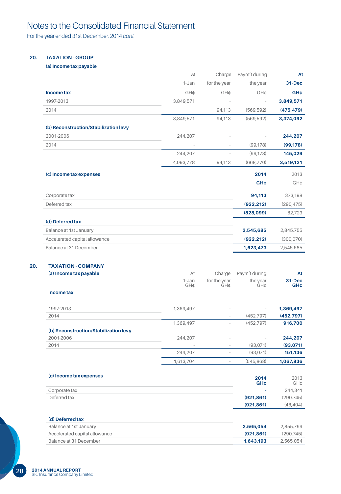For the year ended 31st December, 2014 *cont.*

#### **20. Taxation - Group**

#### **(a) Income tax payable**

|                                                    | At           | Charge              | Paym't during   | At                    |
|----------------------------------------------------|--------------|---------------------|-----------------|-----------------------|
|                                                    | 1-Jan        | for the year        | the year        | 31-Dec                |
| Income tax                                         | GH¢          | GH¢                 | GH¢             | <b>GH¢</b>            |
| 1997-2013                                          | 3,849,571    |                     | $\overline{a}$  | 3,849,571             |
| 2014                                               |              | 94,113              | (569, 592)      | (475, 479)            |
|                                                    | 3,849,571    | 94,113              | (569, 592)      | 3,374,092             |
| (b) Reconstruction/Stabilization levy              |              |                     |                 |                       |
| 2001-2006                                          | 244,207      |                     |                 | 244,207               |
| 2014                                               |              |                     | (99, 178)       | (99, 178)             |
|                                                    | 244,207      | $\overline{a}$      | (99, 178)       | 145,029               |
|                                                    | 4,093,778    | 94,113              | (668, 770)      | 3,519,121             |
|                                                    |              |                     |                 |                       |
| (c) Income tax expenses                            |              |                     | 2014            | 2013<br>GH¢           |
|                                                    |              |                     | <b>GH¢</b>      |                       |
| Corporate tax                                      |              |                     | 94,113          | 373,198               |
| Deferred tax                                       |              |                     | (922, 212)      | (290, 475)            |
|                                                    |              |                     | (828,099)       | 82,723                |
| (d) Deferred tax                                   |              |                     |                 |                       |
| Balance at 1st January                             |              |                     | 2,545,685       | 2,845,755             |
| Accelerated capital allowance                      |              |                     | (922, 212)      | (300, 070)            |
| Balance at 31 December                             |              |                     | 1,623,473       | 2,545,685             |
|                                                    |              |                     |                 |                       |
| <b>TAXATION - COMPANY</b>                          |              |                     |                 |                       |
| (a) Income tax payable                             | At           | Charge              | Paym't during   | At                    |
|                                                    | 1-Jan<br>GHC | for the year<br>GH¢ | the year<br>GH¢ | 31-Dec<br>GH¢         |
| Income tax                                         |              |                     |                 |                       |
|                                                    |              |                     |                 |                       |
| 1997-2013                                          | 1,369,497    |                     |                 | 1,369,497             |
| 2014                                               |              | $\overline{a}$      | (452, 797)      | (452, 797)            |
|                                                    | 1,369,497    | $\overline{a}$      | (452, 797)      | 916,700               |
| (b) Reconstruction/Stabilization levy<br>2001-2006 | 244,207      | ÷,                  |                 |                       |
| 2014                                               |              |                     | (93,071)        | 244,207<br>(93, 071)  |
|                                                    | 244,207      | $\overline{a}$      | (93,071)        | 151,136               |
|                                                    | 1,613,704    |                     | (545, 868)      | 1,067,836             |
|                                                    |              |                     |                 |                       |
| (c) Income tax expenses                            |              |                     | 2014            | 2013                  |
|                                                    |              |                     | <b>GH¢</b>      | GH¢                   |
| Corporate tax<br>Deferred tax                      |              |                     | (921, 861)      | 244,341<br>(290, 745) |
|                                                    |              |                     |                 |                       |

#### **(d) Deferred tax**

**20.** 

| Balance at 1st January        | 2,565,054 | 2.855.799 |
|-------------------------------|-----------|-----------|
| Accelerated capital allowance | (921.861) | (290.745) |
| Balance at 31 December        | 1.643.193 | 2,565,054 |

 **(921,861)** (46,404)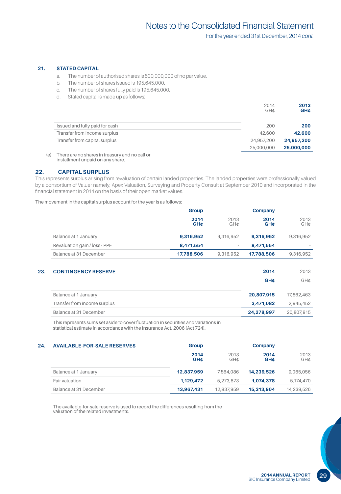#### **21. Stated capital**

- a. The number of authorised shares is 500,000,000 of no par value.
- b. The number of shares issued is 195,645,000.
- c. The number of shares fully paid is 195,645,000.
- d. Stated capital is made up as follows:

|                                | 2014<br>GHC | 2013<br>GH¢ |
|--------------------------------|-------------|-------------|
| Issued and fully paid for cash | 200         | 200         |
| Transfer from income surplus   | 42,600      | 42,600      |
| Transfer from capital surplus  | 24,957,200  | 24,957,200  |
|                                | 25,000,000  | 25,000,000  |

(e) There are no shares in treasury and no call or installment unpaid on any share.

#### $22.$ **22. Capital surplus**

This represents surplus arising from revaluation of certain landed properties. The landed properties were professionally valued by a consortium of Valuer namely, Apex Valuation, Surveying and Property Consult at September 2010 and incorporated in the financial statement in 2014 on the basis of their open market values.

The movement in the capital surplus account for the year is as follows:

|     |                               | Group       |                          | Company            |             |
|-----|-------------------------------|-------------|--------------------------|--------------------|-------------|
|     |                               | 2014<br>GHC | 2013<br>GH¢              | 2014<br><b>GH¢</b> | 2013<br>GHC |
|     | Balance at 1 January          | 9,316,952   | 9,316,952                | 9,316,952          | 9,316,952   |
|     | Revaluation gain / loss - PPE | 8,471,554   | $\overline{\phantom{a}}$ | 8,471,554          |             |
|     | Balance at 31 December        | 17,788,506  | 9,316,952                | 17,788,506         | 9,316,952   |
|     |                               |             |                          |                    |             |
| 23. | <b>CONTINGENCY RESERVE</b>    |             |                          | 2014               | 2013        |
|     |                               |             |                          | <b>GH¢</b>         | GHC         |
|     |                               |             |                          |                    |             |

| Balance at 1 January         | 20,807,915 | 17,862,463 |
|------------------------------|------------|------------|
| Transfer from income surplus | 3,471,082  | 2.945.452  |
| Balance at 31 December       | 24,278,997 | 20,807,915 |

This represents sums set aside to cover fluctuation in securities and variations in statistical estimate in accordance with the Insurance Act, 2006 (Act 724).

| 24. | AVAILABLE-FOR-SALE RESERVES | Group              |             | Company     |             |
|-----|-----------------------------|--------------------|-------------|-------------|-------------|
|     |                             | 2014<br><b>GH¢</b> | 2013<br>GH¢ | 2014<br>GH¢ | 2013<br>GH¢ |
|     | Balance at 1 January        | 12,837,959         | 7,564,086   | 14,239,526  | 9.065.056   |
|     | Fair valuation              | 1.129.472          | 5.273.873   | 1.074.378   | 5.174.470   |
|     | Balance at 31 December      | 13,967,431         | 12.837.959  | 15,313,904  | 14,239,526  |

The available-for-sale reserve is used to record the differences resulting from the valuation of the related investments.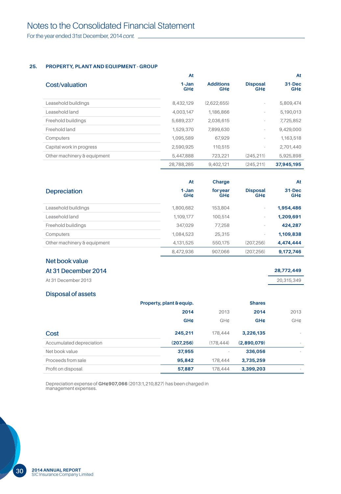#### **25. Property, plant and equipment - Group**

|                             | At                      |                         |                          | At                       |
|-----------------------------|-------------------------|-------------------------|--------------------------|--------------------------|
| Cost/valuation              | $1 - Jan$<br><b>GH¢</b> | <b>Additions</b><br>GH¢ | <b>Disposal</b><br>GH¢   | $31 - Dec$<br><b>GH¢</b> |
| Leasehold buildings         | 8,432,129               | (2.622.655)             |                          | 5,809,474                |
| Leasehold land              | 4.003.147               | 1.186.866               |                          | 5,190,013                |
| Freehold buildings          | 5,689,237               | 2,036,615               |                          | 7,725,852                |
| Freehold land               | 1.529.370               | 7.899.630               | $\overline{\phantom{a}}$ | 9,429,000                |
| Computers                   | 1,095,589               | 67,929                  |                          | 1,163,518                |
| Capital work in progress    | 2.590.925               | 110.515                 | $\overline{\phantom{a}}$ | 2,701,440                |
| Other machinery & equipment | 5,447,888               | 723.221                 | (245.211)                | 5,925,898                |
|                             | 28,788,285              | 9.402.121               | (245.211)                | 37,945,195               |

|                             | At                      | Charge                 |                          | At                       |
|-----------------------------|-------------------------|------------------------|--------------------------|--------------------------|
| <b>Depreciation</b>         | $1 - Jan$<br><b>GH¢</b> | for year<br><b>GH¢</b> | <b>Disposal</b><br>GH¢   | $31 - Dec$<br><b>GH¢</b> |
| Leasehold buildings         | 1,800,682               | 153,804                | $\overline{\phantom{a}}$ | 1,954,486                |
| Leasehold land              | 1,109,177               | 100.514                | $\sim$                   | 1,209,691                |
| Freehold buildings          | 347.029                 | 77.258                 | $\overline{\phantom{a}}$ | 424,287                  |
| Computers                   | 1.084.523               | 25,315                 | $\overline{\phantom{a}}$ | 1,109,838                |
| Other machinery & equipment | 4,131,525               | 550.175                | (207.256)                | 4,474,444                |
|                             | 8,472,936               | 907.066                | (207.256)                | 9,172,746                |

#### **Net book value**

#### **At 31 December 2014 28,772,449**

At 31 December 2013 20,315,349

#### **Disposal of assets**

|                          | Property, plant & equip. |           | <b>Shares</b> |        |
|--------------------------|--------------------------|-----------|---------------|--------|
|                          | 2014                     | 2013      | 2014          | 2013   |
|                          | <b>GH¢</b>               | GHC       | <b>GH¢</b>    | GHC    |
| Cost                     | 245,211                  | 178,444   | 3,226,135     | $\sim$ |
| Accumulated depreciation | (207, 256)               | (178.444) | (2,890,079)   | $\sim$ |
| Net book value           | 37,955                   |           | 336,056       |        |
| Proceeds from sale       | 95,842                   | 178,444   | 3,735,259     |        |
| Profit on disposal       | 57,887                   | 178,444   | 3,399,203     |        |

Depreciation expense of **GH¢907,066** (2013:1,210,827) has been charged in management expenses.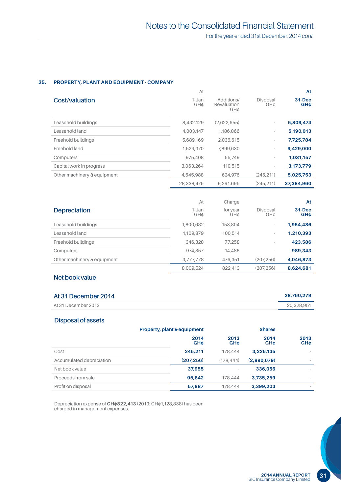#### **25. Property, plant and equipment - Company**

|                             | At           |                                  |                 | At                   |
|-----------------------------|--------------|----------------------------------|-----------------|----------------------|
| Cost/valuation              | 1-Jan<br>GHC | Additions/<br>Revaluation<br>GH¢ | Disposal<br>GHC | 31-Dec<br><b>GH¢</b> |
| Leasehold buildings         | 8,432,129    | (2,622,655)                      | ÷,              | 5,809,474            |
| Leasehold land              | 4,003,147    | 1,186,866                        |                 | 5,190,013            |
| Freehold buildings          | 5,689,169    | 2,036,615                        |                 | 7,725,784            |
| Freehold land               | 1,529,370    | 7,899,630                        | $\overline{a}$  | 9,429,000            |
| Computers                   | 975,408      | 55,749                           |                 | 1,031,157            |
| Capital work in progress    | 3,063,264    | 110,515                          |                 | 3,173,779            |
| Other machinery & equipment | 4,645,988    | 624,976                          | (245, 211)      | 5,025,753            |
|                             | 28,338,475   | 9,291,696                        | (245, 211)      | 37,384,960           |
|                             |              |                                  |                 |                      |
|                             | At           | Charge                           |                 | At                   |
| <b>Depreciation</b>         | 1-Jan<br>GH¢ | for year<br>GH¢                  | Disposal<br>GHC | 31-Dec<br><b>GH¢</b> |
| Leasehold buildings         | 1,800,682    | 153,804                          |                 | 1,954,486            |
| Leasehold land              | 1,109,879    | 100,514                          |                 | 1,210,393            |
| Freehold buildings          | 346,328      | 77,258                           |                 | 423,586              |
| Computers                   | 974,857      | 14,486                           |                 | 989,343              |
| Other machinery & equipment | 3,777,778    | 476,351                          | (207, 256)      | 4,046,873            |
|                             | 8,009,524    | 822,413                          | (207, 256)      | 8,624,681            |

#### **Net book value**

| At 31 December 2014 | 28,760,279 |
|---------------------|------------|
| At 31 December 2013 | 20.328.951 |

#### **Disposal of assets**

|                          | <b>Property, plant &amp; equipment</b> |                          | <b>Shares</b> |                    |
|--------------------------|----------------------------------------|--------------------------|---------------|--------------------|
|                          | 2014<br><b>GH¢</b>                     | 2013<br>GH¢              | 2014<br>GH¢   | 2013<br><b>GH¢</b> |
| Cost                     | 245,211                                | 178,444                  | 3,226,135     |                    |
| Accumulated depreciation | (207, 256)                             | (178.444)                | (2,890,079)   |                    |
| Net book value           | 37,955                                 | $\overline{\phantom{a}}$ | 336,056       |                    |
| Proceeds from sale       | 95,842                                 | 178,444                  | 3,735,259     |                    |
| Profit on disposal       | 57,887                                 | 178,444                  | 3,399,203     |                    |

Depreciation expense of **GH¢822,413** (2013: GH¢1,128,838) has been charged in management expenses.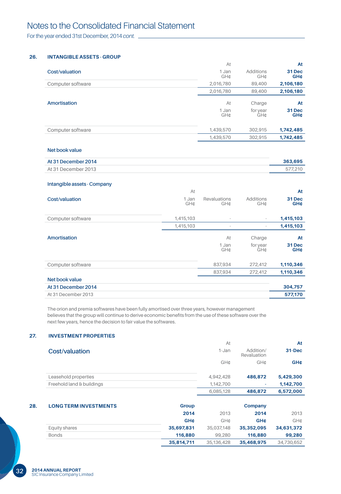For the year ended 31st December, 2014 *cont.*

#### **26. Intangible assets - Group**

|                   | At           |                  | At                   |
|-------------------|--------------|------------------|----------------------|
| Cost/valuation    | 1 Jan<br>GHC | Additions<br>GHC | 31 Dec<br><b>GH¢</b> |
| Computer software | 2,016,780    | 89,400           | 2,106,180            |
|                   | 2,016,780    | 89,400           | 2,106,180            |
| Amortisation      | At           | Charge           | At                   |
|                   | 1 Jan<br>GHC | for year<br>GH¢  | 31 Dec<br><b>GH¢</b> |
| Computer software | 1,439,570    | 302,915          | 1,742,485            |
|                   | 1,439,570    | 302.915          | 1,742,485            |
|                   |              |                  |                      |

#### **Net book value**

| At 31 December 2014 | 363,695 |
|---------------------|---------|
| At 31 December 2013 |         |

#### **Intangible assets - Company**

|                     | At           |                            |                          | At                   |
|---------------------|--------------|----------------------------|--------------------------|----------------------|
| Cost/valuation      | 1 Jan<br>GHC | <b>Revaluations</b><br>GH¢ | <b>Additions</b><br>GHC  | 31 Dec<br><b>GH¢</b> |
| Computer software   | 1,415,103    | $\overline{\phantom{a}}$   | $\overline{\phantom{a}}$ | 1,415,103            |
|                     | 1,415,103    |                            |                          | 1,415,103            |
|                     |              |                            |                          |                      |
| Amortisation        |              | At                         | Charge                   | At                   |
|                     |              | 1 Jan<br>GHC               | for year<br>GH¢          | 31 Dec<br><b>GH¢</b> |
| Computer software   |              | 837,934                    | 272,412                  | 1,110,346            |
|                     |              | 837,934                    | 272,412                  | 1,110,346            |
| Net book value      |              |                            |                          |                      |
| At 31 December 2014 |              |                            |                          | 304,757              |
| At 31 December 2013 |              |                            |                          | 577,170              |

The orion and premia softwares have been fully amortised over three years, however management believes that the group will continue to derive economic benefits from the use of these software over the next few years, hence the decision to fair value the softwares.

#### **27. Investment properties**

|     |                              |            | At         |                          | At         |
|-----|------------------------------|------------|------------|--------------------------|------------|
|     | Cost/valuation               |            | 1-Jan      | Addition/<br>Revaluation | $31 - Dec$ |
|     |                              |            | GHC        | GHC                      | <b>GH¢</b> |
|     | Leasehold properties         |            | 4,942,428  | 486,872                  | 5,429,300  |
|     | Freehold land & buildings    |            | 1,142,700  | ٠                        | 1,142,700  |
|     |                              |            | 6,085,128  | 486,872                  | 6,572,000  |
| 28. | <b>LONG TERM INVESTMENTS</b> | Group      |            | Company                  |            |
|     |                              | 2014       | 2013       | 2014                     | 2013       |
|     |                              | <b>GH¢</b> | GHC        | <b>GH¢</b>               | GHC        |
|     | Equity shares                | 35,697,831 | 35,037,148 | 35,352,095               | 34,631,372 |
|     | <b>Bonds</b>                 | 116,880    | 99.280     | 116,880                  | 99,280     |

 **35,814,711** 35,136,428 **35,468,975** 34,730,652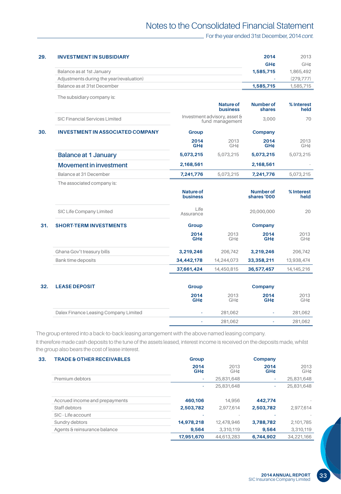## Notes to the Consolidated Financial Statement

For the year ended 31st December, 2014 *cont.*

| 29. | <b>INVESTMENT IN SUBSIDIARY</b>           |                              |                                                 | 2014                            | 2013               |
|-----|-------------------------------------------|------------------------------|-------------------------------------------------|---------------------------------|--------------------|
|     |                                           |                              |                                                 | GH¢                             | GHC                |
|     | Balance as at 1st January                 |                              |                                                 | 1,585,715                       | 1,865,492          |
|     | Adjustments during the year (revaluation) |                              |                                                 |                                 | (279, 777)         |
|     | Balance as at 31st December               |                              |                                                 | 1,585,715                       | 1,585,715          |
|     | The subsidiary company is:                |                              | Nature of                                       | <b>Number of</b>                | % Interest         |
|     |                                           |                              | <b>business</b>                                 | shares                          | held               |
|     | <b>SIC Financial Services Limited</b>     |                              | Investment advisory, asset &<br>fund management | 3.000                           | 70                 |
| 30. | <b>INVESTMENT IN ASSOCIATED COMPANY</b>   | <b>Group</b>                 |                                                 | Company                         |                    |
|     |                                           | 2014<br><b>GH¢</b>           | 2013<br>GHC                                     | 2014<br>GH¢                     | 2013<br>GHC        |
|     | <b>Balance at 1 January</b>               | 5,073,215                    | 5,073,215                                       | 5,073,215                       | 5,073,215          |
|     | <b>Movement in investment</b>             | 2,168,561                    |                                                 | 2,168,561                       |                    |
|     | Balance at 31 December                    | 7,241,776                    | 5,073,215                                       | 7,241,776                       | 5,073,215          |
|     | The associated company is:                |                              |                                                 |                                 |                    |
|     |                                           | Nature of<br><b>business</b> |                                                 | <b>Number of</b><br>shares '000 | % Interest<br>held |
|     | SIC Life Company Limited                  | Life<br>Assurance            |                                                 | 20,000,000                      | 20                 |
| 31. | <b>SHORT-TERM INVESTMENTS</b>             | Group                        |                                                 | Company                         |                    |
|     |                                           | 2014<br>GH¢                  | 2013<br>GHC                                     | 2014<br><b>GH¢</b>              | 2013<br>GH¢        |
|     | Ghana Gov't treasury bills                | 3,219,246                    | 206,742                                         | 3,219,246                       | 206,742            |
|     | <b>Bank time deposits</b>                 | 34,442,178                   | 14,244,073                                      | 33,358,211                      | 13,938,474         |
|     |                                           | 37,661,424                   | 14,450,815                                      | 36,577,457                      | 14,145,216         |
| 32. | <b>LEASE DEPOSIT</b>                      | <b>Group</b>                 |                                                 | Company                         |                    |
|     |                                           | 2014<br>GH¢                  | 2013<br>GHC                                     | 2014<br><b>GH¢</b>              | 2013<br>GHC        |
|     | Dalex Finance Leasing Company Limited     |                              | 281,062                                         |                                 | 281,062            |
|     |                                           |                              | 281,062                                         |                                 | 281,062            |

The group entered into a back-to-back leasing arrangement with the above named leasing company.

It therefore made cash deposits to the tune of the assets leased, interest income is received on the deposits made, whilst the group also bears the cost of lease interest.

| 33. | <b>TRADE &amp; OTHER RECEIVABLES</b> | Group       |             | Company            |             |
|-----|--------------------------------------|-------------|-------------|--------------------|-------------|
|     |                                      | 2014<br>GH¢ | 2013<br>GH¢ | 2014<br><b>GH¢</b> | 2013<br>GHC |
|     | Premium debtors                      | ٠           | 25,831,648  | ٠                  | 25,831,648  |
|     |                                      | ٠           | 25,831,648  | ٠                  | 25.831.648  |
|     | Accrued income and prepayments       | 460,106     | 14,956      | 442,774            |             |
|     | Staff debtors                        | 2,503,782   | 2.977.614   | 2,503,782          | 2,977,614   |
|     | SIC - Life account                   |             |             |                    |             |
|     | Sundry debtors                       | 14,978,218  | 12,478,946  | 3,788,782          | 2,101,785   |
|     | Agents & reinsurance balance         | 9,564       | 3.310.119   | 9.564              | 3,310,119   |
|     |                                      | 17,951,670  | 44,613,283  | 6,744,902          | 34,221,166  |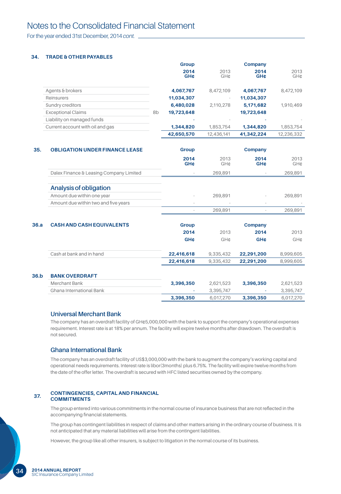For the year ended 31st December, 2014 *cont.*

#### **34. Trade & other payables**

|                                         |    | Group              |             | <b>Company</b>     |             |
|-----------------------------------------|----|--------------------|-------------|--------------------|-------------|
|                                         |    | 2014<br><b>GH¢</b> | 2013<br>GHC | 2014<br><b>GH¢</b> | 2013<br>GH¢ |
| Agents & brokers                        |    | 4,067,767          | 8,472,109   | 4,067,767          | 8,472,109   |
| Reinsurers                              |    | 11,034,307         |             | 11,034,307         |             |
| Sundry creditors                        |    | 6,480,028          | 2,110,278   | 5,171,682          | 1,910,469   |
| <b>Exceptional Claims</b>               | 8b | 19,723,648         |             | 19,723,648         |             |
| Liability on managed funds              |    |                    |             |                    |             |
| Current account with oil and gas        |    | 1,344,820          | 1,853,754   | 1,344,820          | 1,853,754   |
|                                         |    | 42,650,570         | 12,436,141  | 41,342,224         | 12,236,332  |
|                                         |    |                    |             |                    |             |
| <b>OBLIGATION UNDER FINANCE LEASE</b>   |    | Group              |             | <b>Company</b>     |             |
|                                         |    | 2014<br>GH¢        | 2013<br>GHC | 2014<br>GH¢        | 2013<br>GHC |
| Dalex Finance & Leasing Company Limited |    |                    | 269,891     |                    | 269,891     |
| Analysis of obligation                  |    |                    |             |                    |             |
| Amount due within one year              |    |                    | 269,891     |                    | 269,891     |
| Amount due within two and five years    |    |                    |             |                    |             |
|                                         |    |                    | 269,891     |                    | 269,891     |
| <b>CASH AND CASH EQUIVALENTS</b>        |    | Group              |             | Company            |             |
|                                         |    | 2014               | 2013        | 2014               | 2013        |
|                                         |    |                    |             |                    |             |

|      |                          | <b>GHc</b> | GHC       | GH¢        | GH¢       |
|------|--------------------------|------------|-----------|------------|-----------|
|      | Cash at bank and in hand | 22,416,618 | 9,335,432 | 22,291,200 | 8,999,605 |
|      |                          | 22,416,618 | 9,335,432 | 22,291,200 | 8,999,605 |
| 36.b | <b>BANK OVERDRAFT</b>    |            |           |            |           |
|      | Merchant Bank            | 3,396,350  | 2,621,523 | 3,396,350  | 2,621,523 |
|      | Ghana International Bank | ٠          | 3,395,747 | ٠          | 3,395,747 |
|      |                          | 3,396,350  | 6,017,270 | 3,396,350  | 6,017,270 |

#### **Universal Merchant Bank**

The company has an overdraft facility of GH¢5,000,000 with the bank to support the company's operational expenses requirement. Interest rate is at 18% per annum. The facility will expire twelve months after drawdown. The overdraft is not secured.

#### **Ghana International Bank**

The company has an overdraft facility of US\$3,000,000 with the bank to augment the company's working capital and operational needs requirements. Interest rate is libor(3months) plus 6.75%. The facility will expire twelve months from the date of the offer letter. The overdraft is secured with HFC listed securities owned by the company.

#### **37. Contingencies, capital and financial commitments**

The group entered into various commitments in the normal course of insurance business that are not reflected in the accompanying financial statements.

The group has contingent liabilities in respect of claims and other matters arising in the ordinary course of business. It is not anticipated that any material liabilities will arise from the contingent liabilities.

However, the group like all other insurers, is subject to litigation in the normal course of its business.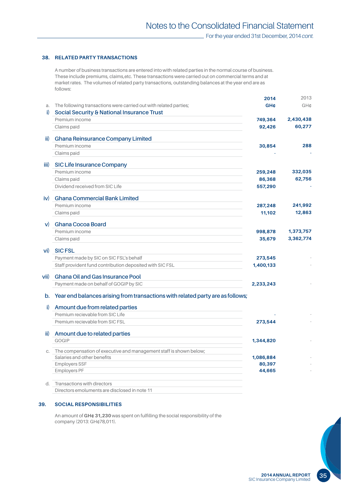#### **38. Related party transactions**

A number of business transactions are entered into with related parties in the normal course of business. These include premiums, claims,etc. These transactions were carried out on commercial terms and at market rates. The volumes of related party transactions, outstanding balances at the year end are as follows:

|      |                                                                                   | 2014       | 2013      |
|------|-----------------------------------------------------------------------------------|------------|-----------|
| a.   | The following transactions were carried out with related parties;                 | <b>GH¢</b> | GH¢       |
| i)   | Social Security & National Insurance Trust                                        |            |           |
|      | Premium income                                                                    | 749,364    | 2,430,438 |
|      | Claims paid                                                                       | 92,426     | 60,277    |
|      | ii) Ghana Reinsurance Company Limited                                             |            |           |
|      | Premium income                                                                    | 30,854     | 288       |
|      | Claims paid                                                                       |            |           |
| iii) | <b>SIC Life Insurance Company</b>                                                 |            |           |
|      | Premium income                                                                    | 259,248    | 332,035   |
|      | Claims paid                                                                       | 86,368     | 62,756    |
|      | Dividend received from SIC Life                                                   | 557,290    |           |
|      | iv) Ghana Commercial Bank Limited                                                 |            |           |
|      | Premium income                                                                    | 287,248    | 241,992   |
|      | Claims paid                                                                       | 11,102     | 12,863    |
|      | v) Ghana Cocoa Board                                                              |            |           |
|      | Premium income                                                                    | 998,878    | 1,373,757 |
|      | Claims paid                                                                       | 35,679     | 3,362,774 |
|      |                                                                                   |            |           |
| vi)  | <b>SIC FSL</b>                                                                    |            |           |
|      | Payment made by SIC on SIC FSL's behalf                                           | 273,545    |           |
|      | Staff provident fund contribution deposited with SIC FSL                          | 1,400,133  |           |
| vii) | <b>Ghana Oil and Gas Insurance Pool</b>                                           |            |           |
|      | Payment made on behalf of GOGIP by SIC                                            | 2,233,243  |           |
|      | b. Year end balances arising from transactions with related party are as follows; |            |           |
|      |                                                                                   |            |           |
| i)   | Amount due from related parties<br>Premium recievable from SIC Life               |            |           |
|      | Premium recievable from SIC FSL                                                   | 273,544    |           |
|      |                                                                                   |            |           |
| ii)  | Amount due to related parties                                                     |            |           |
|      | GOGIP                                                                             | 1,344,820  |           |
|      | c. The compensation of executive and management staff is shown below;             |            |           |
|      | Salaries and other benefits                                                       | 1,086,884  |           |
|      | <b>Employers SSF</b>                                                              | 80,397     |           |
|      | Employers PF                                                                      | 44,665     |           |
| d.   | Transactions with directors                                                       |            |           |
|      | Directors emoluments are disclosed in note 11                                     |            |           |
|      |                                                                                   |            |           |

#### **39. Social responsibilities**

An amount of **GH¢ 31,230** was spent on fulfilling the social responsibility of the company (2013: GH¢78,011).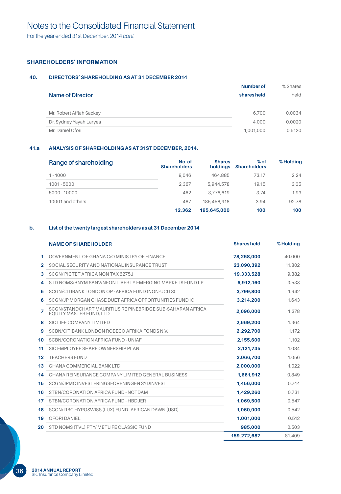For the year ended 31st December, 2014 *cont.*

## **SHAREHOLDERS' IN**

#### **40. Directors' shareholding as at 31 December 2014**

|                          | <b>Number of</b> | % Shares |
|--------------------------|------------------|----------|
| Name of Director         | shares held      | held     |
| Mr. Robert Afflah Sackey | 6.700            | 0.0034   |
| Dr. Sydney Yayah Laryea  | 4.000            | 0.0020   |
| Mr. Daniel Ofori         | 1,001,000        | 0.5120   |

#### **41.a Analysis of shareholding as at 31st December, 2014.**

| Range of shareholding | No. of<br><b>Shareholders</b> | <b>Shares</b><br>holdings | $%$ of<br><b>Shareholders</b> | % Holding |
|-----------------------|-------------------------------|---------------------------|-------------------------------|-----------|
| $1 - 1000$            | 9.046                         | 464,885                   | 73.17                         | 2.24      |
| $1001 - 5000$         | 2.367                         | 5,944,578                 | 19.15                         | 3.05      |
| 5000 - 10000          | 462                           | 3.776.619                 | 3.74                          | 1.93      |
| 10001 and others      | 487                           | 185,458,918               | 3.94                          | 92.78     |
|                       | 12,362                        | 195,645,000               | 100                           | 100       |

#### **b. List of the twenty largest shareholders as at 31 December 2014**

|    | <b>NAME OF SHAREHOLDER</b>                                                            | <b>Sharesheld</b> | % Holding |
|----|---------------------------------------------------------------------------------------|-------------------|-----------|
| 1. | GOVERNMENT OF GHANA C/O MINISTRY OF FINANCE                                           | 78,258,000        | 40.000    |
| 2  | SOCIAL SECURITY AND NATIONAL INSURANCE TRUST                                          | 23,090,392        | 11.802    |
| 3  | SCGN/PICTET AFRICA NON TAX 6275J                                                      | 19,333,528        | 9.882     |
| 4  | STD NOMS/BNYM SANV/NEON LIBERTY EMERGING MARKETS FUND LP                              | 6,912,160         | 3.533     |
| 5  | SCGN/CITIBANK LONDON OP - AFRICA FUND (NON-UCITS)                                     | 3,799,800         | 1.942     |
| 6  | SCGN/JP MORGAN CHASE DUET AFRICA OPPORTUNITIES FUND IC                                | 3,214,200         | 1.643     |
| 7  | SCGN/STANDCHART MAURITIUS RE PINEBRIDGE SUB-SAHARAN AFRICA<br>EQUITY MASTER FUND. LTD | 2,696,000         | 1.378     |
| 8  | SIC LIFE COMPANY LIMITED                                                              | 2,669,200         | 1.364     |
| 9  | SCBN/CITIBANK LONDON ROBECO AFRIKA FONDS N.V.                                         | 2,292,700         | 1.172     |
| 10 | SCBN/CORONATION AFRICA FUND - UNIAF                                                   | 2,155,600         | 1.102     |
| 11 | SIC EMPLOYEE SHARE OWNERSHIP PLAN                                                     | 2,121,735         | 1.084     |
| 12 | <b>TEACHERS FUND</b>                                                                  | 2,066,700         | 1.056     |
| 13 | <b>GHANA COMMERCIAL BANK LTD</b>                                                      | 2,000,000         | 1.022     |
| 14 | GHANA REINSURANCE COMPANY LIMITED GENERAL BUSINESS                                    | 1,661,912         | 0.849     |
| 15 | SCGN/JPMC INVESTERINGSFORENINGEN SYDINVEST                                            | 1,456,000         | 0.744     |
| 16 | STBN/CORONATION AFRICA FUND - NOTDAM                                                  | 1,429,260         | 0.731     |
| 17 | STBN/CORONATION AFRICA FUND - HBDJER                                                  | 1,069,500         | 0.547     |
| 18 | SCGN/RBC HYPOSWISS (LUX) FUND-AFRICAN DAWN (USD)                                      | 1,060,000         | 0.542     |
| 19 | OFORI DANIEL                                                                          | 1.001.000         | 0.512     |
| 20 | STD NOMS (TVL) PTY/ METLIFE CLASSIC FUND                                              | 985,000           | 0.503     |
|    |                                                                                       | 159,272,687       | 81.409    |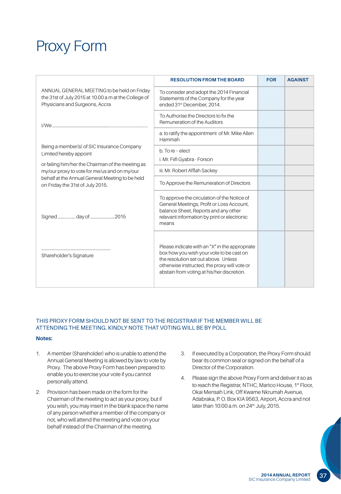# Proxy Form

|                                                                                                                                       | <b>RESOLUTION FROM THE BOARD</b>                                                                                                                                                                                                 | <b>FOR</b> | <b>AGAINST</b> |
|---------------------------------------------------------------------------------------------------------------------------------------|----------------------------------------------------------------------------------------------------------------------------------------------------------------------------------------------------------------------------------|------------|----------------|
| ANNUAL GENERAL MEETING to be held on Friday<br>the 31st of July 2015 at 10.00 a.m at the College of<br>Physicians and Surgeons, Accra | To consider and adopt the 2014 Financial<br>Statements of the Company for the year<br>ended 31 <sup>st</sup> December, 2014.                                                                                                     |            |                |
|                                                                                                                                       | To Authorise the Directors to fix the<br>Remuneration of the Auditors                                                                                                                                                            |            |                |
|                                                                                                                                       | a. to ratify the appointment of Mr. Mike Allen<br>Hammah                                                                                                                                                                         |            |                |
| Being a member(s) of SIC Insurance Company<br>Limited hereby appoint                                                                  | b. To re - elect<br>i. Mr. Fiifi Gyabra - Forson                                                                                                                                                                                 |            |                |
| or failing him/her the Chairman of the meeting as<br>my/our proxy to vote for me/us and on my/our                                     | iii. Mr. Robert Afflah Sackey                                                                                                                                                                                                    |            |                |
| behalf at the Annual General Meeting to be held<br>on Friday the 31st of July 2015.                                                   | To Approve the Remuneration of Directors                                                                                                                                                                                         |            |                |
| Signed  day of 2015                                                                                                                   | To approve the circulation of the Notice of<br>General Meetings, Profit or Loss Account,<br>balance Sheet, Reports and any other<br>relevant information by print or electronic<br>means                                         |            |                |
| Shareholder's Signature                                                                                                               | Please indicate with an "X" in the appropriate<br>box how you wish your vote to be cast on<br>the resolution set out above. Unless<br>otherwise instructed, the proxy will vote or<br>abstain from voting at his/her discretion. |            |                |

#### THIS PROXY FORM SHOULD NOT BE SENT TO THE REGISTRAR IF THE MEMBER WILL BE ATTENDING THE MEETING. KINDLY NOTE THAT VOTING WILL BE BY POLL

#### **Notes:**

- 1. A member (Shareholder) who is unable to attend the Annual General Meeting is allowed by law to vote by Proxy. The above Proxy Form has been prepared to enable you to exercise your vote if you cannot personally attend.
- 2. Provision has been made on the form for the Chairman of the meeting to act as your proxy, but if you wish, you may insert in the blank space the name of any person whether a member of the company or not, who will attend the meeting and vote on your behalf instead of the Chairman of the meeting.
- 3. If executed by a Corporation, the Proxy Form should bear its common seal or signed on the behalf of a Director of the Corporation.
- 4. Please sign the above Proxy Form and deliver it so as to reach the Registrar, NTHC, Martco House, 1st Floor, Okai Mensah Link, Off Kwame Nkrumah Avenue, Adabraka, P. O. Box KIA 9563, Airport, Accra and not later than 10:00 a.m. on 24<sup>th</sup> July, 2015.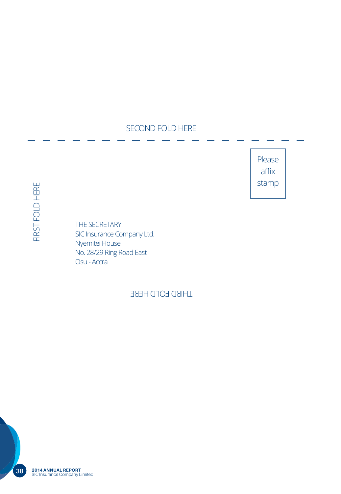## SECOND FOLD HERE

Please affix stamp

FIRST FOLD HERE FIRST FOLD HERE

THE SECRETARY SIC Insurance Company Ltd. Nyemitei House No. 28/29 Ring Road East Osu - Accra

THIRD FOLD HERE

**2014 ANNUAL REPORT** SIC Insurance Company Limited **38**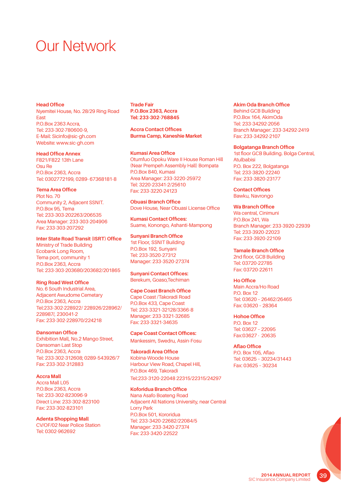## Our Network

#### **Head Office**

Nyemitei House, No. 28/29 Ring Road East P.O.Box 2363 Accra, Tel: 233-302-780600-9, E-Mail: Sicinfo@sic-gh.com Website: www.sic-gh.com

#### **Head Office Annex**

F821/F822 13th Lane Osu Re P.O.Box 2363, Accra Tel: 0302772199, 0289- 67368181-8

#### **Tema Area Office**

Plot No. 70 Community 2, Adjacent SSNIT. P.O.Box 95, Tema Tel: 233-303-202263/206535 Area Manager: 233-303-204906 Fax: 233-303-207292

#### **Inter State Road Transit (ISRT) Office**

Ministry of Trade Building Ecobank Long Room, Tema port, community 1 P.O.Box 2363, Accra Tel: 233-303-203680/203682/201865

#### **Ring Road West Office**

No. 6 South Industrial Area, Adjacent Awudome Cemetary P.O.Box 2363, Accra Tel:233-302-228922/ 228926/228962/ 228987/, 230041-2 Fax: 233-302-228970/224218

#### **Dansoman Office**

Exhibition Mall, No.2 Mango Street, Dansoman Last Stop P.O.Box 2363, Accra Tel: 233-302-312608; 0289-543926/7 Fax: 233-302-312883

#### **Accra Mall**

Accra Mall L05 P.O.Box 2363, Accra Tel: 233-302-823096-9 Direct Line: 233-302-823100 Fax: 233-302-823101

**Adenta Shopping Mall** CV/OF/02 Near Police Station Tel: 0302-962692

**Trade Fair P.O.Box 2363, Accra Tel: 233-302-768845**

**Accra Contact Offices Burma Camp, Kaneshie Market**

#### **Kumasi Area Office**

Otumfuo Opoku Ware II House Roman Hill (Near Prempeh Assembly Hall) Bompata P.O.Box 840, Kumasi Area Manager: 233-3220-25972 Tel: 3220-23341-2/25610 Fax: 233-3220-24123

**Obuasi Branch Office** Dove House, Near Obuasi License Office

**Kumasi Contact Offices:** Suame, Konongo, Ashanti-Mampong

#### **Sunyani Branch Office**

1st Floor, SSNIT Building P.O.Box 192, Sunyani Tel: 233-3520-27312 Manager: 233-3520-27374

**Sunyani Contact Offices:** Berekum, Goaso,Techiman

#### **Cape Coast Branch Office**

Cape Coast /Takoradi Road P.O.Box 433, Cape Coast Tel: 233-3321-32128/3366-8 Manager: 233-3321-32685 Fax: 233-3321-34635

**Cape Coast Contact Offices:**

Mankessim, Swedru, Assin-Fosu

**Takoradi Area Office** Kobina-Woode House Harbour View Road, Chapel Hill, P.O.Box 469, Takoradi Tel:233-3120-22048 22315/22315/24297

#### **Koforidua Branch Office**

Nana Asafo Boateng Road Adjacent All Nations University, near Central Lorry Park P.O.Box 501, Kororidua Tel: 233-3420-22682/22084/5 Manager: 233-3420-27374 Fax: 233-3420-22522

#### **Akim Oda Branch Office**

Behind GCB Building P.O.Box 164, AkimOda Tel: 233-34292-2056 Branch Manager: 233-34292-2419 Fax: 233-34292-2107

#### **Bolgatanga Branch Office**

1st floor GCB Building. Bolga Central, Atulbabisi P.O. Box 222, Bolgatanga Tel: 233-3820-22240 Fax: 233-3820-23177

**Contact Offices** Bawku, Navrongo

#### **Wa Branch Office**

Wa central, Cinimuni P.O.Box 241, Wa Branch Manager: 233-3920-22939 Tel: 233-3920-22023 Fax: 233-3920-22109

#### **Tamale Branch Office**

2nd floor, GCB Building Tel: 03720-22785 Fax: 03720-22611

#### **Ho Office**

Main Accra/Ho Road P.O. Box 12 Tel: 03620 – 26462/26465 Fax: 03620 – 28364

#### **Hohoe Office**

P.O. Box 12 Tel: 03627 – 22095 Fax:03627 - 20635

#### **Aflao Office**

P.O. Box 105, Aflao Tel: 03625 – 30234/31443 Fax: 03625 – 30234